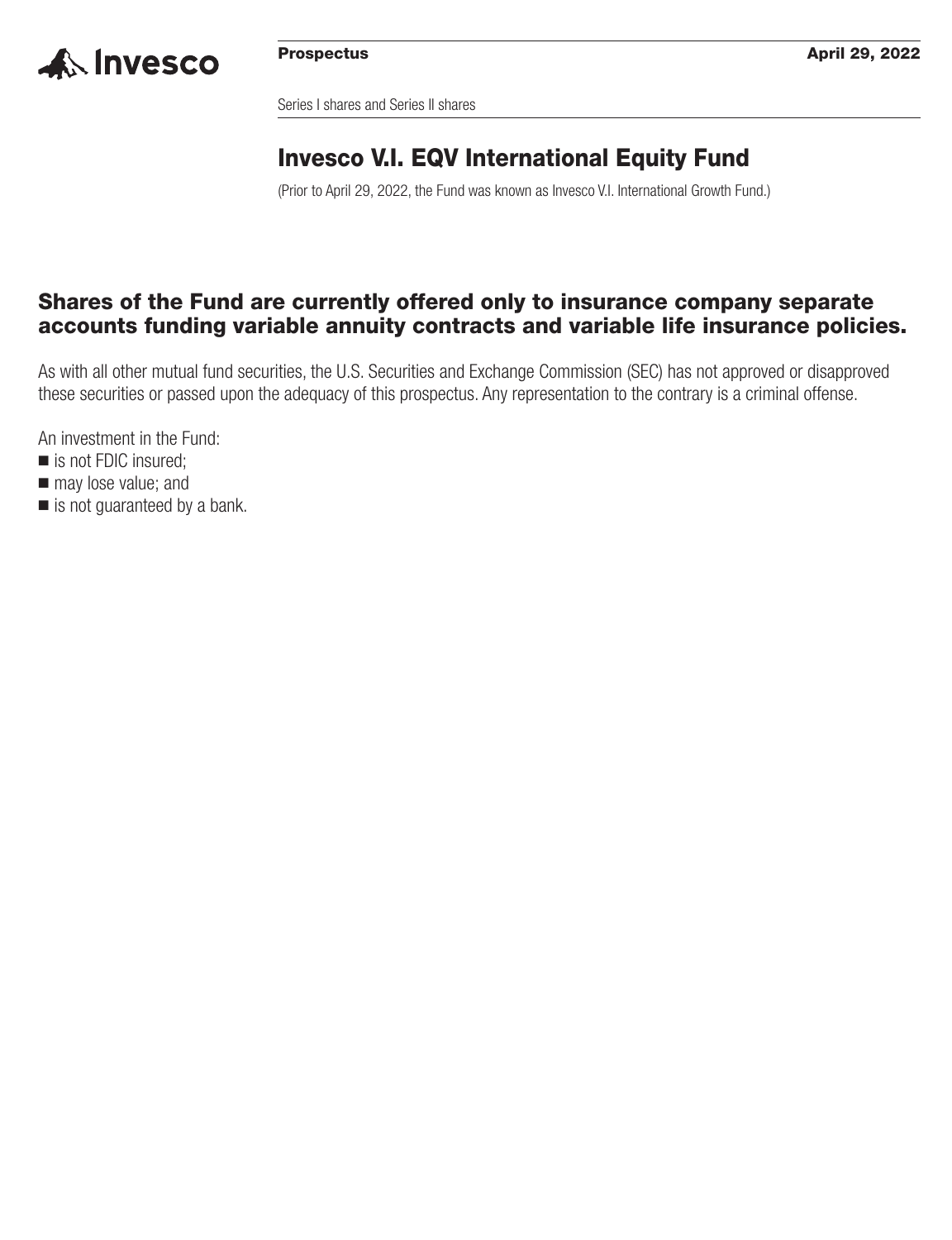

Series I shares and Series II shares

## **Invesco V.I. EQV International Equity Fund**

(Prior to April 29, 2022, the Fund was known as Invesco V.I. International Growth Fund.)

### **Shares of the Fund are currently offered only to insurance company separate accounts funding variable annuity contracts and variable life insurance policies.**

As with all other mutual fund securities, the U.S. Securities and Exchange Commission (SEC) has not approved or disapproved these securities or passed upon the adequacy of this prospectus. Any representation to the contrary is a criminal offense.

An investment in the Fund:

- is not FDIC insured;
- $\blacksquare$  may lose value; and
- is not guaranteed by a bank.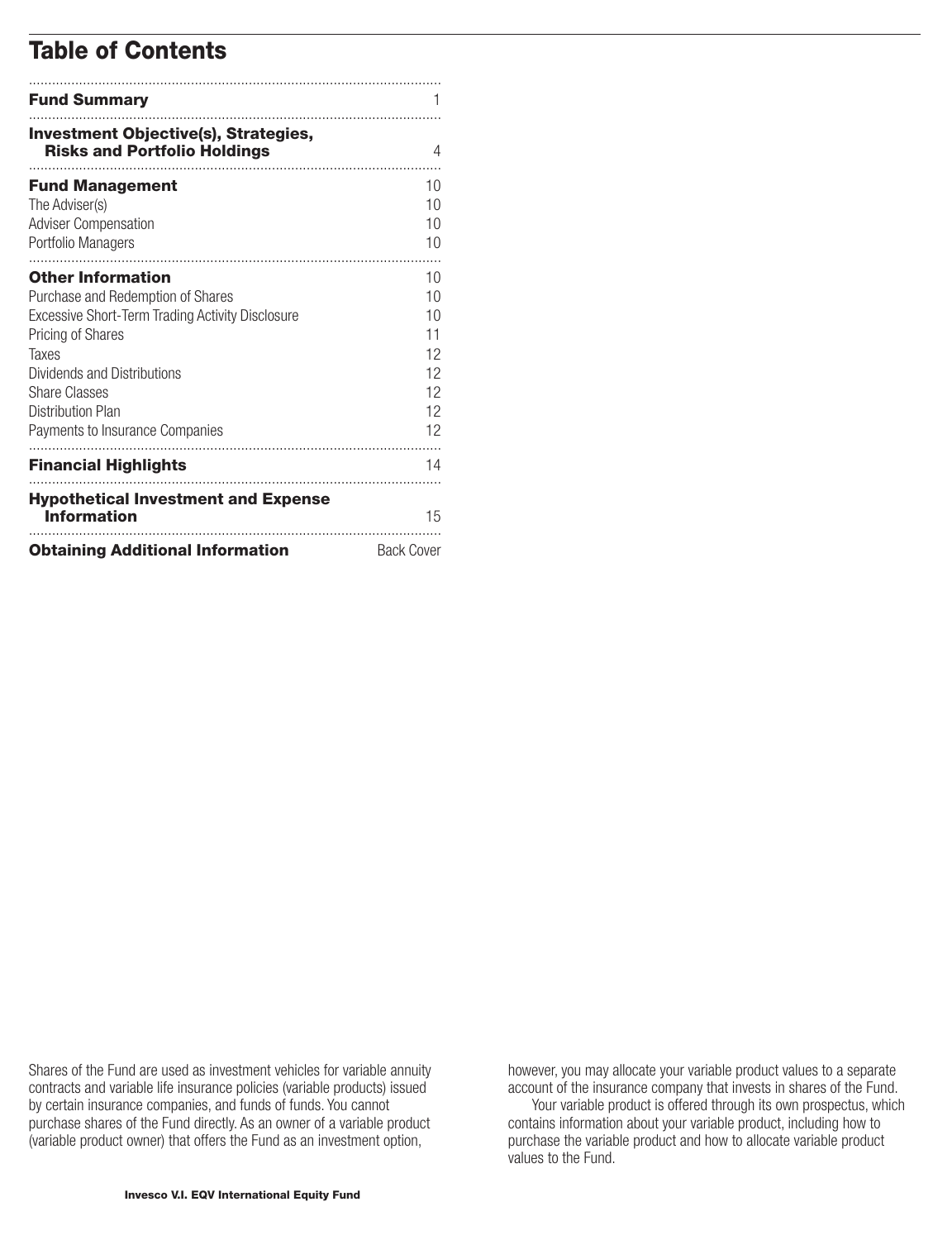### **Table of Contents**

| <b>Fund Summary</b>                                                                                                                                                                                                                                                               |                                                    |
|-----------------------------------------------------------------------------------------------------------------------------------------------------------------------------------------------------------------------------------------------------------------------------------|----------------------------------------------------|
| <b>Investment Objective(s), Strategies,</b><br><b>Risks and Portfolio Holdings</b>                                                                                                                                                                                                | 4                                                  |
| <b>Fund Management</b><br>The Adviser(s)<br><b>Adviser Compensation</b><br>Portfolio Managers                                                                                                                                                                                     | 10<br>10<br>10<br>10                               |
| <b>Other Information</b><br>Purchase and Redemption of Shares<br><b>Excessive Short-Term Trading Activity Disclosure</b><br>Pricing of Shares<br>Taxes<br>Dividends and Distributions<br><b>Share Classes</b><br><b>Distribution Plan</b><br>Payments to Insurance Companies<br>. | 10<br>10<br>10<br>11<br>12<br>12<br>12<br>12<br>12 |
| <b>Financial Highlights</b>                                                                                                                                                                                                                                                       | 14                                                 |
| <b>Hypothetical Investment and Expense</b><br><b>Information</b>                                                                                                                                                                                                                  | 15                                                 |
| <b>Obtaining Additional Information</b>                                                                                                                                                                                                                                           | <b>Back Cover</b>                                  |

Shares of the Fund are used as investment vehicles for variable annuity contracts and variable life insurance policies (variable products) issued by certain insurance companies, and funds of funds. You cannot purchase shares of the Fund directly. As an owner of a variable product (variable product owner) that offers the Fund as an investment option,

however, you may allocate your variable product values to a separate account of the insurance company that invests in shares of the Fund.

Your variable product is offered through its own prospectus, which contains information about your variable product, including how to purchase the variable product and how to allocate variable product values to the Fund.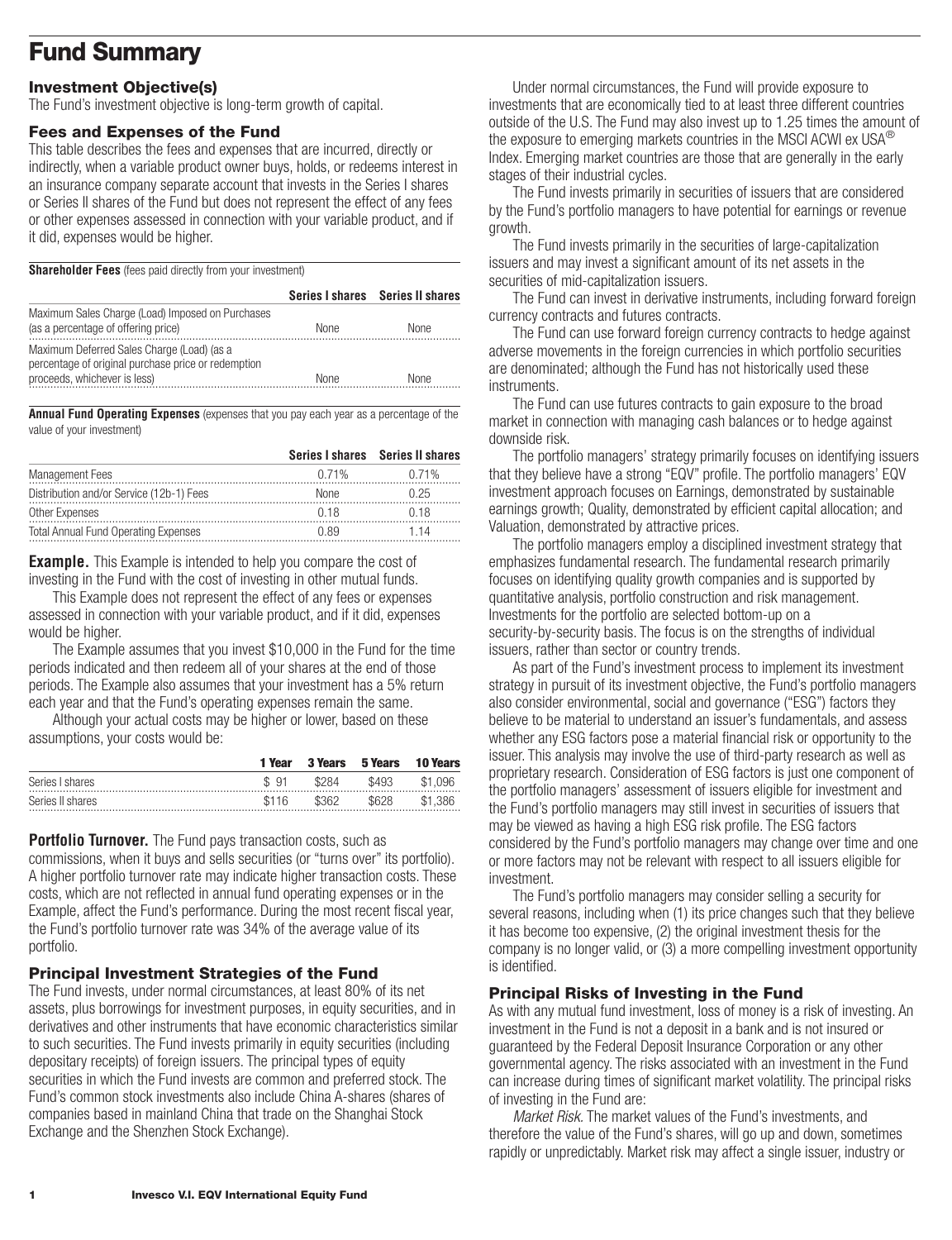## <span id="page-2-0"></span>**Fund Summary**

### **Investment Objective(s)**

The Fund's investment objective is long-term growth of capital.

### **Fees and Expenses of the Fund**

This table describes the fees and expenses that are incurred, directly or indirectly, when a variable product owner buys, holds, or redeems interest in an insurance company separate account that invests in the Series I shares or Series II shares of the Fund but does not represent the effect of any fees or other expenses assessed in connection with your variable product, and if it did, expenses would be higher.

**Shareholder Fees** (fees paid directly from your investment)

|                                                                                                                                   |             | Series I shares Series II shares |
|-----------------------------------------------------------------------------------------------------------------------------------|-------------|----------------------------------|
| Maximum Sales Charge (Load) Imposed on Purchases<br>(as a percentage of offering price)                                           | <b>None</b> | <b>None</b>                      |
| Maximum Deferred Sales Charge (Load) (as a<br>percentage of original purchase price or redemption<br>proceeds, whichever is less) | None        | None                             |

**Annual Fund Operating Expenses** (expenses that you pay each year as a percentage of the value of your investment)

|                                             |       | Series I shares Series II shares |
|---------------------------------------------|-------|----------------------------------|
| <b>Management Fees</b>                      | 0.71% | 0.71 <sup>%</sup>                |
| Distribution and/or Service (12b-1) Fees    | None  | በ 25                             |
| Other Expenses                              | በ 18  | በ 18                             |
| <b>Total Annual Fund Operating Expenses</b> | በ ጸባ  | 1 14                             |

**Example.** This Example is intended to help you compare the cost of investing in the Fund with the cost of investing in other mutual funds.

This Example does not represent the effect of any fees or expenses assessed in connection with your variable product, and if it did, expenses would be higher.

The Example assumes that you invest \$10,000 in the Fund for the time periods indicated and then redeem all of your shares at the end of those periods. The Example also assumes that your investment has a 5% return each year and that the Fund's operating expenses remain the same.

Although your actual costs may be higher or lower, based on these assumptions, your costs would be:

|                  | 1 Year | 3 Years | 5 Years | <b>10 Years</b> |
|------------------|--------|---------|---------|-----------------|
| Series I shares  | \$91   | \$284   | \$493   | \$1.096         |
| Series II shares | \$116  | \$362   | \$628   | \$1,386         |

**Portfolio Turnover.** The Fund pays transaction costs, such as commissions, when it buys and sells securities (or "turns over" its portfolio). A higher portfolio turnover rate may indicate higher transaction costs. These costs, which are not reflected in annual fund operating expenses or in the Example, affect the Fund's performance. During the most recent fiscal year, the Fund's portfolio turnover rate was 34% of the average value of its portfolio.

### **Principal Investment Strategies of the Fund**

The Fund invests, under normal circumstances, at least 80% of its net assets, plus borrowings for investment purposes, in equity securities, and in derivatives and other instruments that have economic characteristics similar to such securities. The Fund invests primarily in equity securities (including depositary receipts) of foreign issuers. The principal types of equity securities in which the Fund invests are common and preferred stock. The Fund's common stock investments also include China A-shares (shares of companies based in mainland China that trade on the Shanghai Stock Exchange and the Shenzhen Stock Exchange).

Under normal circumstances, the Fund will provide exposure to investments that are economically tied to at least three different countries outside of the U.S. The Fund may also invest up to 1.25 times the amount of the exposure to emerging markets countries in the MSCI ACWI ex USA® Index. Emerging market countries are those that are generally in the early stages of their industrial cycles.

The Fund invests primarily in securities of issuers that are considered by the Fund's portfolio managers to have potential for earnings or revenue growth.

The Fund invests primarily in the securities of large-capitalization issuers and may invest a significant amount of its net assets in the securities of mid-capitalization issuers.

The Fund can invest in derivative instruments, including forward foreign currency contracts and futures contracts.

The Fund can use forward foreign currency contracts to hedge against adverse movements in the foreign currencies in which portfolio securities are denominated; although the Fund has not historically used these instruments.

The Fund can use futures contracts to gain exposure to the broad market in connection with managing cash balances or to hedge against downside risk.

The portfolio managers' strategy primarily focuses on identifying issuers that they believe have a strong "EQV" profile. The portfolio managers' EQV investment approach focuses on Earnings, demonstrated by sustainable earnings growth; Quality, demonstrated by efficient capital allocation; and Valuation, demonstrated by attractive prices.

The portfolio managers employ a disciplined investment strategy that emphasizes fundamental research. The fundamental research primarily focuses on identifying quality growth companies and is supported by quantitative analysis, portfolio construction and risk management. Investments for the portfolio are selected bottom-up on a security-by-security basis. The focus is on the strengths of individual issuers, rather than sector or country trends.

As part of the Fund's investment process to implement its investment strategy in pursuit of its investment objective, the Fund's portfolio managers also consider environmental, social and governance ("ESG") factors they believe to be material to understand an issuer's fundamentals, and assess whether any ESG factors pose a material financial risk or opportunity to the issuer. This analysis may involve the use of third-party research as well as proprietary research. Consideration of ESG factors is just one component of the portfolio managers' assessment of issuers eligible for investment and the Fund's portfolio managers may still invest in securities of issuers that may be viewed as having a high ESG risk profile. The ESG factors considered by the Fund's portfolio managers may change over time and one or more factors may not be relevant with respect to all issuers eligible for investment.

The Fund's portfolio managers may consider selling a security for several reasons, including when (1) its price changes such that they believe it has become too expensive, (2) the original investment thesis for the company is no longer valid, or (3) a more compelling investment opportunity is identified.

### **Principal Risks of Investing in the Fund**

As with any mutual fund investment, loss of money is a risk of investing. An investment in the Fund is not a deposit in a bank and is not insured or guaranteed by the Federal Deposit Insurance Corporation or any other governmental agency. The risks associated with an investment in the Fund can increase during times of significant market volatility. The principal risks of investing in the Fund are:

*Market Risk.* The market values of the Fund's investments, and therefore the value of the Fund's shares, will go up and down, sometimes rapidly or unpredictably. Market risk may affect a single issuer, industry or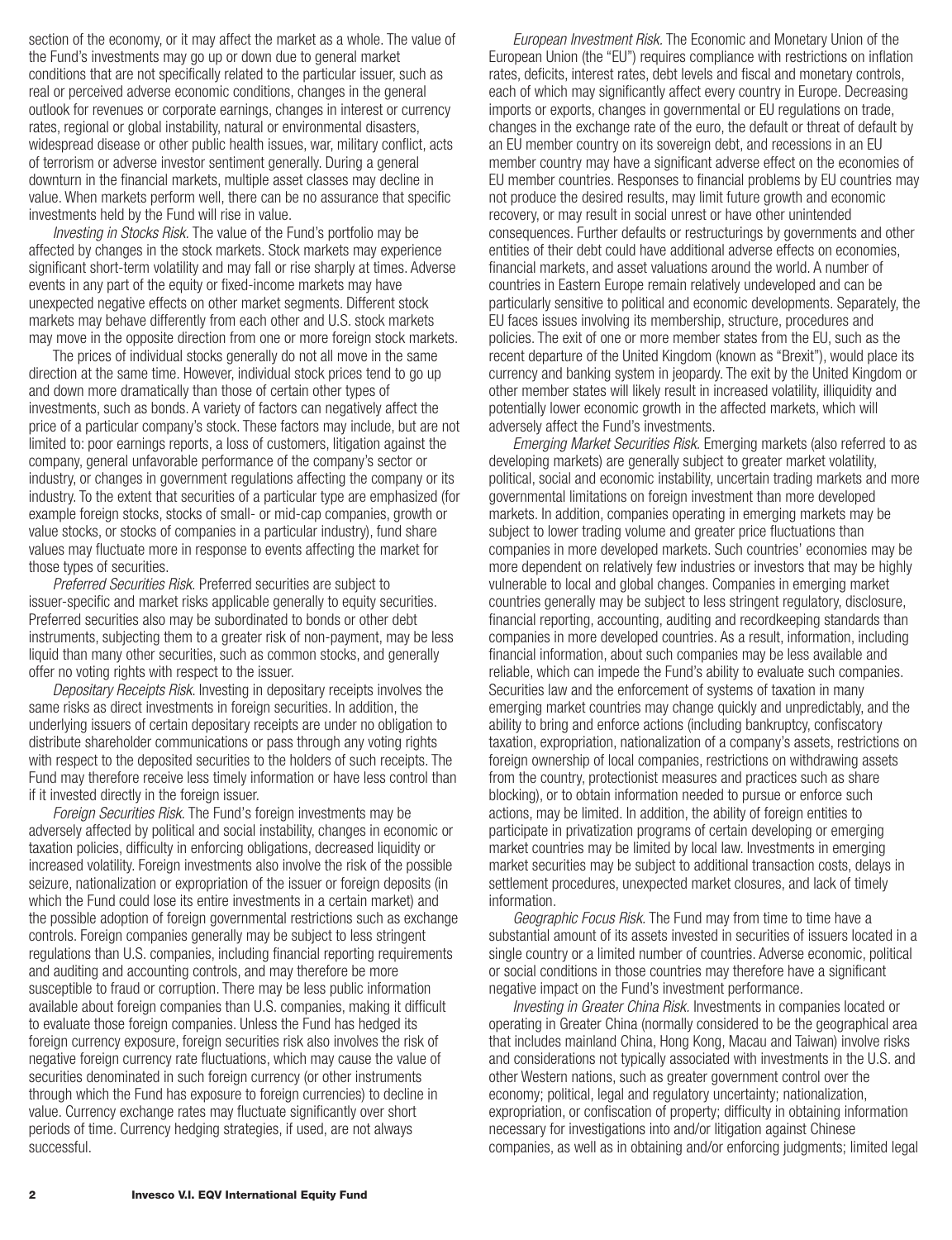section of the economy, or it may affect the market as a whole. The value of the Fund's investments may go up or down due to general market conditions that are not specifically related to the particular issuer, such as real or perceived adverse economic conditions, changes in the general outlook for revenues or corporate earnings, changes in interest or currency rates, regional or global instability, natural or environmental disasters, widespread disease or other public health issues, war, military conflict, acts of terrorism or adverse investor sentiment generally. During a general downturn in the financial markets, multiple asset classes may decline in value. When markets perform well, there can be no assurance that specific investments held by the Fund will rise in value.

*Investing in Stocks Risk.* The value of the Fund's portfolio may be affected by changes in the stock markets. Stock markets may experience significant short-term volatility and may fall or rise sharply at times. Adverse events in any part of the equity or fixed-income markets may have unexpected negative effects on other market segments. Different stock markets may behave differently from each other and U.S. stock markets may move in the opposite direction from one or more foreign stock markets.

The prices of individual stocks generally do not all move in the same direction at the same time. However, individual stock prices tend to go up and down more dramatically than those of certain other types of investments, such as bonds. A variety of factors can negatively affect the price of a particular company's stock. These factors may include, but are not limited to: poor earnings reports, a loss of customers, litigation against the company, general unfavorable performance of the company's sector or industry, or changes in government regulations affecting the company or its industry. To the extent that securities of a particular type are emphasized (for example foreign stocks, stocks of small- or mid-cap companies, growth or value stocks, or stocks of companies in a particular industry), fund share values may fluctuate more in response to events affecting the market for those types of securities.

*Preferred Securities Risk.* Preferred securities are subject to issuer-specific and market risks applicable generally to equity securities. Preferred securities also may be subordinated to bonds or other debt instruments, subjecting them to a greater risk of non-payment, may be less liquid than many other securities, such as common stocks, and generally offer no voting rights with respect to the issuer.

*Depositary Receipts Risk*. Investing in depositary receipts involves the same risks as direct investments in foreign securities. In addition, the underlying issuers of certain depositary receipts are under no obligation to distribute shareholder communications or pass through any voting rights with respect to the deposited securities to the holders of such receipts. The Fund may therefore receive less timely information or have less control than if it invested directly in the foreign issuer.

*Foreign Securities Risk.* The Fund's foreign investments may be adversely affected by political and social instability, changes in economic or taxation policies, difficulty in enforcing obligations, decreased liquidity or increased volatility. Foreign investments also involve the risk of the possible seizure, nationalization or expropriation of the issuer or foreign deposits (in which the Fund could lose its entire investments in a certain market) and the possible adoption of foreign governmental restrictions such as exchange controls. Foreign companies generally may be subject to less stringent regulations than U.S. companies, including financial reporting requirements and auditing and accounting controls, and may therefore be more susceptible to fraud or corruption. There may be less public information available about foreign companies than U.S. companies, making it difficult to evaluate those foreign companies. Unless the Fund has hedged its foreign currency exposure, foreign securities risk also involves the risk of negative foreign currency rate fluctuations, which may cause the value of securities denominated in such foreign currency (or other instruments through which the Fund has exposure to foreign currencies) to decline in value. Currency exchange rates may fluctuate significantly over short periods of time. Currency hedging strategies, if used, are not always successful.

*European Investment Risk.* The Economic and Monetary Union of the European Union (the "EU") requires compliance with restrictions on inflation rates, deficits, interest rates, debt levels and fiscal and monetary controls, each of which may significantly affect every country in Europe. Decreasing imports or exports, changes in governmental or EU regulations on trade, changes in the exchange rate of the euro, the default or threat of default by an EU member country on its sovereign debt, and recessions in an EU member country may have a significant adverse effect on the economies of EU member countries. Responses to financial problems by EU countries may not produce the desired results, may limit future growth and economic recovery, or may result in social unrest or have other unintended consequences. Further defaults or restructurings by governments and other entities of their debt could have additional adverse effects on economies, financial markets, and asset valuations around the world. A number of countries in Eastern Europe remain relatively undeveloped and can be particularly sensitive to political and economic developments. Separately, the EU faces issues involving its membership, structure, procedures and policies. The exit of one or more member states from the EU, such as the recent departure of the United Kingdom (known as "Brexit"), would place its currency and banking system in jeopardy. The exit by the United Kingdom or other member states will likely result in increased volatility, illiquidity and potentially lower economic growth in the affected markets, which will adversely affect the Fund's investments.

*Emerging Market Securities Risk.* Emerging markets (also referred to as developing markets) are generally subject to greater market volatility, political, social and economic instability, uncertain trading markets and more governmental limitations on foreign investment than more developed markets. In addition, companies operating in emerging markets may be subject to lower trading volume and greater price fluctuations than companies in more developed markets. Such countries' economies may be more dependent on relatively few industries or investors that may be highly vulnerable to local and global changes. Companies in emerging market countries generally may be subject to less stringent regulatory, disclosure, financial reporting, accounting, auditing and recordkeeping standards than companies in more developed countries. As a result, information, including financial information, about such companies may be less available and reliable, which can impede the Fund's ability to evaluate such companies. Securities law and the enforcement of systems of taxation in many emerging market countries may change quickly and unpredictably, and the ability to bring and enforce actions (including bankruptcy, confiscatory taxation, expropriation, nationalization of a company's assets, restrictions on foreign ownership of local companies, restrictions on withdrawing assets from the country, protectionist measures and practices such as share blocking), or to obtain information needed to pursue or enforce such actions, may be limited. In addition, the ability of foreign entities to participate in privatization programs of certain developing or emerging market countries may be limited by local law. Investments in emerging market securities may be subject to additional transaction costs, delays in settlement procedures, unexpected market closures, and lack of timely information.

*Geographic Focus Risk.* The Fund may from time to time have a substantial amount of its assets invested in securities of issuers located in a single country or a limited number of countries. Adverse economic, political or social conditions in those countries may therefore have a significant negative impact on the Fund's investment performance.

*Investing in Greater China Risk.* Investments in companies located or operating in Greater China (normally considered to be the geographical area that includes mainland China, Hong Kong, Macau and Taiwan) involve risks and considerations not typically associated with investments in the U.S. and other Western nations, such as greater government control over the economy; political, legal and regulatory uncertainty; nationalization, expropriation, or confiscation of property; difficulty in obtaining information necessary for investigations into and/or litigation against Chinese companies, as well as in obtaining and/or enforcing judgments; limited legal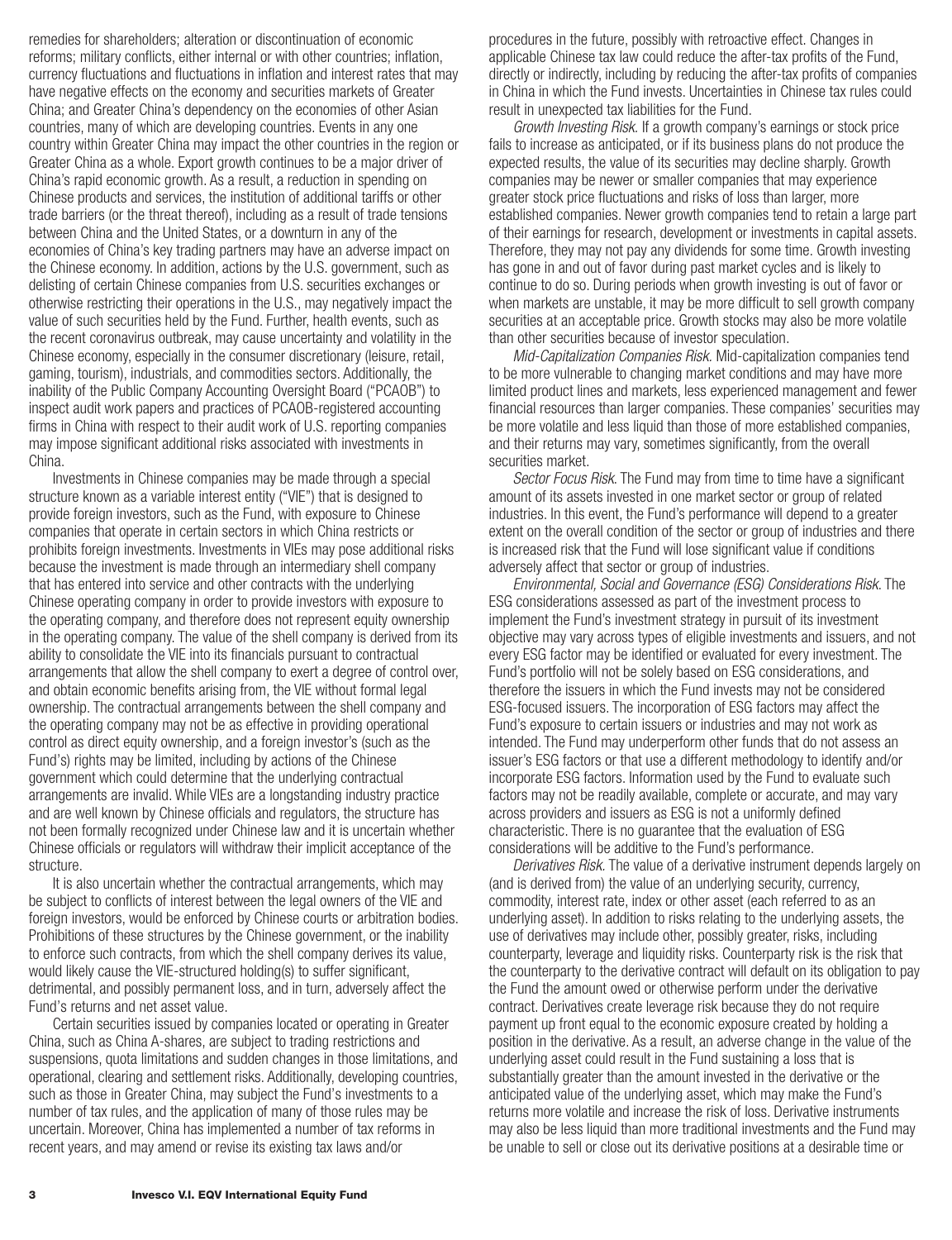remedies for shareholders; alteration or discontinuation of economic reforms; military conflicts, either internal or with other countries; inflation, currency fluctuations and fluctuations in inflation and interest rates that may have negative effects on the economy and securities markets of Greater China; and Greater China's dependency on the economies of other Asian countries, many of which are developing countries. Events in any one country within Greater China may impact the other countries in the region or Greater China as a whole. Export growth continues to be a major driver of China's rapid economic growth. As a result, a reduction in spending on Chinese products and services, the institution of additional tariffs or other trade barriers (or the threat thereof), including as a result of trade tensions between China and the United States, or a downturn in any of the economies of China's key trading partners may have an adverse impact on the Chinese economy. In addition, actions by the U.S. government, such as delisting of certain Chinese companies from U.S. securities exchanges or otherwise restricting their operations in the U.S., may negatively impact the value of such securities held by the Fund. Further, health events, such as the recent coronavirus outbreak, may cause uncertainty and volatility in the Chinese economy, especially in the consumer discretionary (leisure, retail, gaming, tourism), industrials, and commodities sectors. Additionally, the inability of the Public Company Accounting Oversight Board ("PCAOB") to inspect audit work papers and practices of PCAOB-registered accounting firms in China with respect to their audit work of U.S. reporting companies may impose significant additional risks associated with investments in China.

Investments in Chinese companies may be made through a special structure known as a variable interest entity ("VIE") that is designed to provide foreign investors, such as the Fund, with exposure to Chinese companies that operate in certain sectors in which China restricts or prohibits foreign investments. Investments in VIEs may pose additional risks because the investment is made through an intermediary shell company that has entered into service and other contracts with the underlying Chinese operating company in order to provide investors with exposure to the operating company, and therefore does not represent equity ownership in the operating company. The value of the shell company is derived from its ability to consolidate the VIE into its financials pursuant to contractual arrangements that allow the shell company to exert a degree of control over, and obtain economic benefits arising from, the VIE without formal legal ownership. The contractual arrangements between the shell company and the operating company may not be as effective in providing operational control as direct equity ownership, and a foreign investor's (such as the Fund's) rights may be limited, including by actions of the Chinese government which could determine that the underlying contractual arrangements are invalid. While VIEs are a longstanding industry practice and are well known by Chinese officials and regulators, the structure has not been formally recognized under Chinese law and it is uncertain whether Chinese officials or regulators will withdraw their implicit acceptance of the structure.

It is also uncertain whether the contractual arrangements, which may be subject to conflicts of interest between the legal owners of the VIE and foreign investors, would be enforced by Chinese courts or arbitration bodies. Prohibitions of these structures by the Chinese government, or the inability to enforce such contracts, from which the shell company derives its value, would likely cause the VIE-structured holding(s) to suffer significant, detrimental, and possibly permanent loss, and in turn, adversely affect the Fund's returns and net asset value.

Certain securities issued by companies located or operating in Greater China, such as China A-shares, are subject to trading restrictions and suspensions, quota limitations and sudden changes in those limitations, and operational, clearing and settlement risks. Additionally, developing countries, such as those in Greater China, may subject the Fund's investments to a number of tax rules, and the application of many of those rules may be uncertain. Moreover, China has implemented a number of tax reforms in recent years, and may amend or revise its existing tax laws and/or

procedures in the future, possibly with retroactive effect. Changes in applicable Chinese tax law could reduce the after-tax profits of the Fund, directly or indirectly, including by reducing the after-tax profits of companies in China in which the Fund invests. Uncertainties in Chinese tax rules could result in unexpected tax liabilities for the Fund.

*Growth Investing Risk.* If a growth company's earnings or stock price fails to increase as anticipated, or if its business plans do not produce the expected results, the value of its securities may decline sharply. Growth companies may be newer or smaller companies that may experience greater stock price fluctuations and risks of loss than larger, more established companies. Newer growth companies tend to retain a large part of their earnings for research, development or investments in capital assets. Therefore, they may not pay any dividends for some time. Growth investing has gone in and out of favor during past market cycles and is likely to continue to do so. During periods when growth investing is out of favor or when markets are unstable, it may be more difficult to sell growth company securities at an acceptable price. Growth stocks may also be more volatile than other securities because of investor speculation.

*Mid-Capitalization Companies Risk.* Mid-capitalization companies tend to be more vulnerable to changing market conditions and may have more limited product lines and markets, less experienced management and fewer financial resources than larger companies. These companies' securities may be more volatile and less liquid than those of more established companies, and their returns may vary, sometimes significantly, from the overall securities market.

*Sector Focus Risk*. The Fund may from time to time have a significant amount of its assets invested in one market sector or group of related industries. In this event, the Fund's performance will depend to a greater extent on the overall condition of the sector or group of industries and there is increased risk that the Fund will lose significant value if conditions adversely affect that sector or group of industries.

*Environmental, Social and Governance (ESG) Considerations Risk*. The ESG considerations assessed as part of the investment process to implement the Fund's investment strategy in pursuit of its investment objective may vary across types of eligible investments and issuers, and not every ESG factor may be identified or evaluated for every investment. The Fund's portfolio will not be solely based on ESG considerations, and therefore the issuers in which the Fund invests may not be considered ESG-focused issuers. The incorporation of ESG factors may affect the Fund's exposure to certain issuers or industries and may not work as intended. The Fund may underperform other funds that do not assess an issuer's ESG factors or that use a different methodology to identify and/or incorporate ESG factors. Information used by the Fund to evaluate such factors may not be readily available, complete or accurate, and may vary across providers and issuers as ESG is not a uniformly defined characteristic. There is no guarantee that the evaluation of ESG considerations will be additive to the Fund's performance.

*Derivatives Risk.* The value of a derivative instrument depends largely on (and is derived from) the value of an underlying security, currency, commodity, interest rate, index or other asset (each referred to as an underlying asset). In addition to risks relating to the underlying assets, the use of derivatives may include other, possibly greater, risks, including counterparty, leverage and liquidity risks. Counterparty risk is the risk that the counterparty to the derivative contract will default on its obligation to pay the Fund the amount owed or otherwise perform under the derivative contract. Derivatives create leverage risk because they do not require payment up front equal to the economic exposure created by holding a position in the derivative. As a result, an adverse change in the value of the underlying asset could result in the Fund sustaining a loss that is substantially greater than the amount invested in the derivative or the anticipated value of the underlying asset, which may make the Fund's returns more volatile and increase the risk of loss. Derivative instruments may also be less liquid than more traditional investments and the Fund may be unable to sell or close out its derivative positions at a desirable time or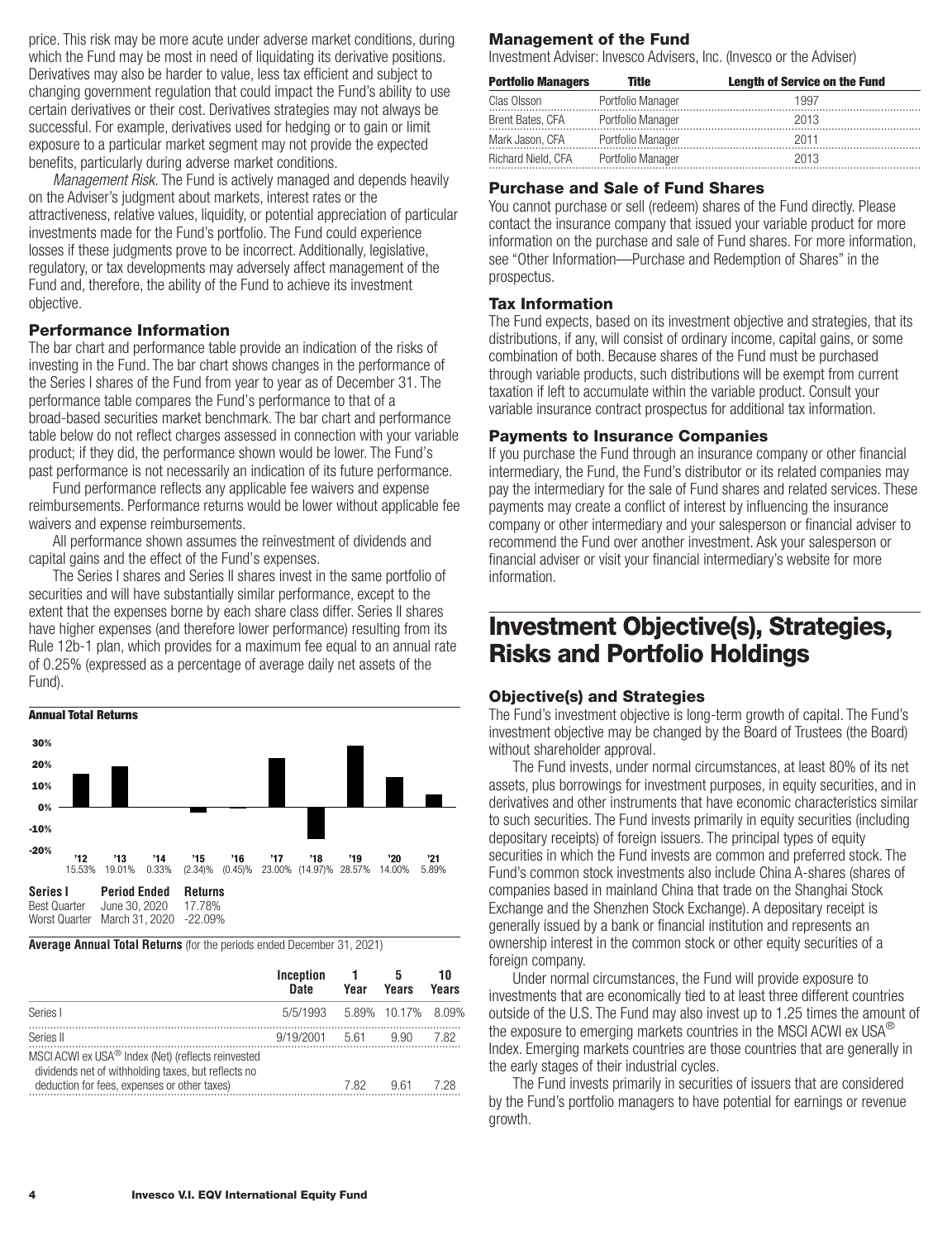<span id="page-5-0"></span>price. This risk may be more acute under adverse market conditions, during which the Fund may be most in need of liquidating its derivative positions. Derivatives may also be harder to value, less tax efficient and subject to changing government regulation that could impact the Fund's ability to use certain derivatives or their cost. Derivatives strategies may not always be successful. For example, derivatives used for hedging or to gain or limit exposure to a particular market segment may not provide the expected benefits, particularly during adverse market conditions.

*Management Risk.* The Fund is actively managed and depends heavily on the Adviser's judgment about markets, interest rates or the attractiveness, relative values, liquidity, or potential appreciation of particular investments made for the Fund's portfolio. The Fund could experience losses if these judgments prove to be incorrect. Additionally, legislative, regulatory, or tax developments may adversely affect management of the Fund and, therefore, the ability of the Fund to achieve its investment objective.

### **Performance Information**

The bar chart and performance table provide an indication of the risks of investing in the Fund. The bar chart shows changes in the performance of the Series I shares of the Fund from year to year as of December 31. The performance table compares the Fund's performance to that of a broad-based securities market benchmark. The bar chart and performance table below do not reflect charges assessed in connection with your variable product; if they did, the performance shown would be lower. The Fund's past performance is not necessarily an indication of its future performance.

Fund performance reflects any applicable fee waivers and expense reimbursements. Performance returns would be lower without applicable fee waivers and expense reimbursements.

All performance shown assumes the reinvestment of dividends and capital gains and the effect of the Fund's expenses.

The Series I shares and Series II shares invest in the same portfolio of securities and will have substantially similar performance, except to the extent that the expenses borne by each share class differ. Series II shares have higher expenses (and therefore lower performance) resulting from its Rule 12b-1 plan, which provides for a maximum fee equal to an annual rate of 0.25% (expressed as a percentage of average daily net assets of the Fund).



#### **Average Annual Total Returns** (for the periods ended December 31, 2021)

|                                                                                                                                                                       | Inception<br>Date           | Year | Years | וור<br>Years |
|-----------------------------------------------------------------------------------------------------------------------------------------------------------------------|-----------------------------|------|-------|--------------|
| Series I                                                                                                                                                              | 5/5/1993 5.89% 10.17% 8.09% |      |       |              |
| Series II                                                                                                                                                             | 9/19/2001                   | 5.61 | 9.90  | 7.82         |
| MSCI ACWI ex USA <sup>®</sup> Index (Net) (reflects reinvested<br>dividends net of withholding taxes, but reflects no<br>deduction for fees, expenses or other taxes) |                             | 7.82 | 9.61  | 7 28         |

### **Management of the Fund**

Investment Adviser: Invesco Advisers, Inc. (Invesco or the Adviser)

| <b>Portfolio Managers</b> | Title             | <b>Length of Service on the Fund</b> |
|---------------------------|-------------------|--------------------------------------|
| Clas Olsson               | Portfolio Manager | 1997                                 |
| Brent Bates, CFA          | Portfolio Manager | 2013                                 |
| Mark Jason, CFA           | Portfolio Manager | 2011                                 |
| Richard Nield, CFA        | Portfolio Manager | 2013                                 |

#### **Purchase and Sale of Fund Shares**

You cannot purchase or sell (redeem) shares of the Fund directly. Please contact the insurance company that issued your variable product for more information on the purchase and sale of Fund shares. For more information, see "Other Information—Purchase and Redemption of Shares" in the prospectus.

### **Tax Information**

The Fund expects, based on its investment objective and strategies, that its distributions, if any, will consist of ordinary income, capital gains, or some combination of both. Because shares of the Fund must be purchased through variable products, such distributions will be exempt from current taxation if left to accumulate within the variable product. Consult your variable insurance contract prospectus for additional tax information.

### **Payments to Insurance Companies**

If you purchase the Fund through an insurance company or other financial intermediary, the Fund, the Fund's distributor or its related companies may pay the intermediary for the sale of Fund shares and related services. These payments may create a conflict of interest by influencing the insurance company or other intermediary and your salesperson or financial adviser to recommend the Fund over another investment. Ask your salesperson or financial adviser or visit your financial intermediary's website for more information.

### **Investment Objective(s), Strategies, Risks and Portfolio Holdings**

### **Objective(s) and Strategies**

The Fund's investment objective is long-term growth of capital. The Fund's investment objective may be changed by the Board of Trustees (the Board) without shareholder approval.

The Fund invests, under normal circumstances, at least 80% of its net assets, plus borrowings for investment purposes, in equity securities, and in derivatives and other instruments that have economic characteristics similar to such securities. The Fund invests primarily in equity securities (including depositary receipts) of foreign issuers. The principal types of equity securities in which the Fund invests are common and preferred stock. The Fund's common stock investments also include China A-shares (shares of companies based in mainland China that trade on the Shanghai Stock Exchange and the Shenzhen Stock Exchange). A depositary receipt is generally issued by a bank or financial institution and represents an ownership interest in the common stock or other equity securities of a foreign company.

Under normal circumstances, the Fund will provide exposure to investments that are economically tied to at least three different countries outside of the U.S. The Fund may also invest up to 1.25 times the amount of the exposure to emerging markets countries in the MSCI ACWI ex USA<sup>®</sup> Index. Emerging markets countries are those countries that are generally in the early stages of their industrial cycles.

The Fund invests primarily in securities of issuers that are considered by the Fund's portfolio managers to have potential for earnings or revenue growth.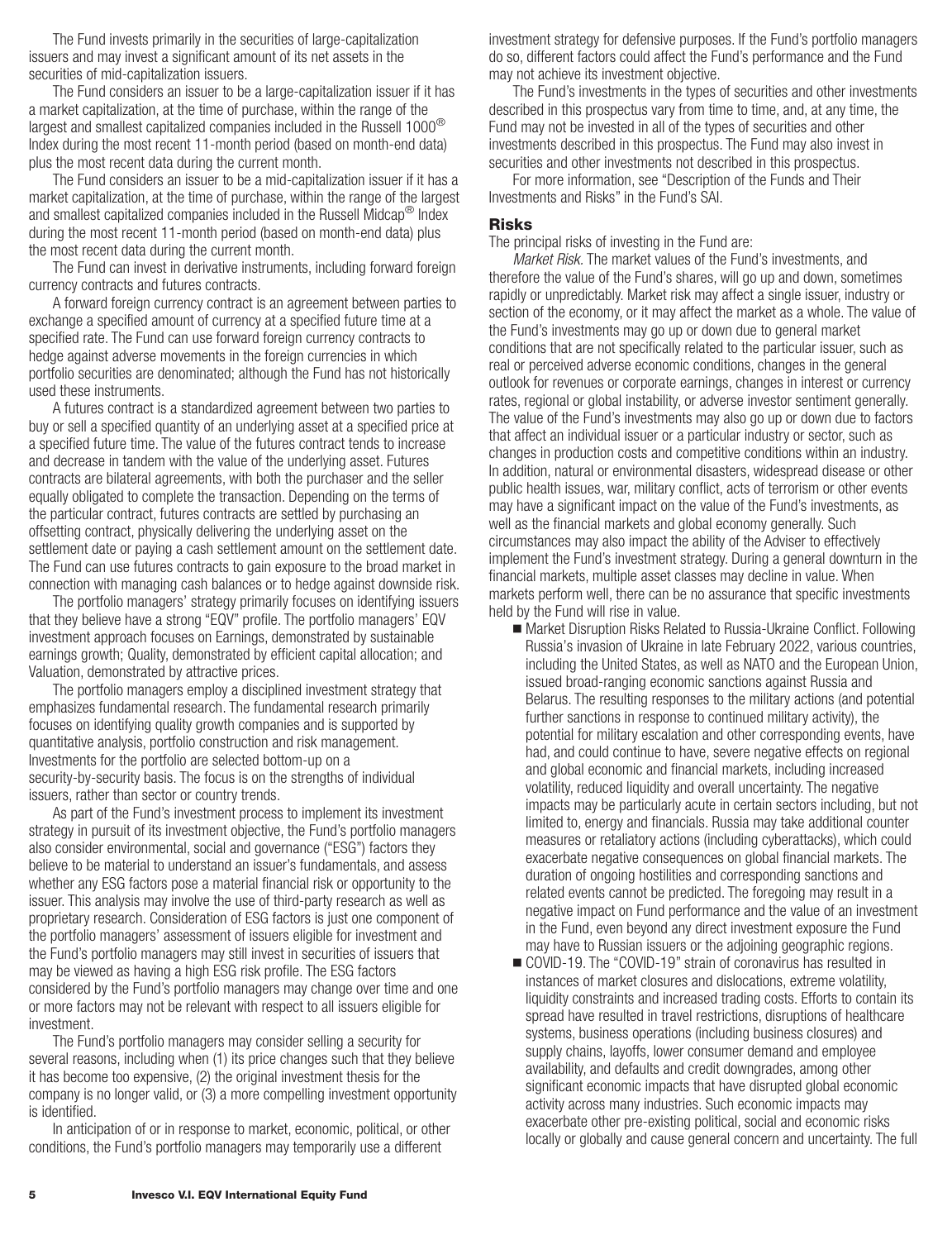The Fund invests primarily in the securities of large-capitalization issuers and may invest a significant amount of its net assets in the securities of mid-capitalization issuers.

The Fund considers an issuer to be a large-capitalization issuer if it has a market capitalization, at the time of purchase, within the range of the largest and smallest capitalized companies included in the Russell 1000<sup>®</sup> Index during the most recent 11-month period (based on month-end data) plus the most recent data during the current month.

The Fund considers an issuer to be a mid-capitalization issuer if it has a market capitalization, at the time of purchase, within the range of the largest and smallest capitalized companies included in the Russell Midcap<sup>®</sup> Index during the most recent 11-month period (based on month-end data) plus the most recent data during the current month.

The Fund can invest in derivative instruments, including forward foreign currency contracts and futures contracts.

A forward foreign currency contract is an agreement between parties to exchange a specified amount of currency at a specified future time at a specified rate. The Fund can use forward foreign currency contracts to hedge against adverse movements in the foreign currencies in which portfolio securities are denominated; although the Fund has not historically used these instruments.

A futures contract is a standardized agreement between two parties to buy or sell a specified quantity of an underlying asset at a specified price at a specified future time. The value of the futures contract tends to increase and decrease in tandem with the value of the underlying asset. Futures contracts are bilateral agreements, with both the purchaser and the seller equally obligated to complete the transaction. Depending on the terms of the particular contract, futures contracts are settled by purchasing an offsetting contract, physically delivering the underlying asset on the settlement date or paying a cash settlement amount on the settlement date. The Fund can use futures contracts to gain exposure to the broad market in connection with managing cash balances or to hedge against downside risk.

The portfolio managers' strategy primarily focuses on identifying issuers that they believe have a strong "EQV" profile. The portfolio managers' EQV investment approach focuses on Earnings, demonstrated by sustainable earnings growth; Quality, demonstrated by efficient capital allocation; and Valuation, demonstrated by attractive prices.

The portfolio managers employ a disciplined investment strategy that emphasizes fundamental research. The fundamental research primarily focuses on identifying quality growth companies and is supported by quantitative analysis, portfolio construction and risk management. Investments for the portfolio are selected bottom-up on a security-by-security basis. The focus is on the strengths of individual issuers, rather than sector or country trends.

As part of the Fund's investment process to implement its investment strategy in pursuit of its investment objective, the Fund's portfolio managers also consider environmental, social and governance ("ESG") factors they believe to be material to understand an issuer's fundamentals, and assess whether any ESG factors pose a material financial risk or opportunity to the issuer. This analysis may involve the use of third-party research as well as proprietary research. Consideration of ESG factors is just one component of the portfolio managers' assessment of issuers eligible for investment and the Fund's portfolio managers may still invest in securities of issuers that may be viewed as having a high ESG risk profile. The ESG factors considered by the Fund's portfolio managers may change over time and one or more factors may not be relevant with respect to all issuers eligible for investment.

The Fund's portfolio managers may consider selling a security for several reasons, including when (1) its price changes such that they believe it has become too expensive, (2) the original investment thesis for the company is no longer valid, or (3) a more compelling investment opportunity is identified.

In anticipation of or in response to market, economic, political, or other conditions, the Fund's portfolio managers may temporarily use a different

investment strategy for defensive purposes. If the Fund's portfolio managers do so, different factors could affect the Fund's performance and the Fund may not achieve its investment objective.

The Fund's investments in the types of securities and other investments described in this prospectus vary from time to time, and, at any time, the Fund may not be invested in all of the types of securities and other investments described in this prospectus. The Fund may also invest in securities and other investments not described in this prospectus.

For more information, see "Description of the Funds and Their Investments and Risks" in the Fund's SAI.

### **Risks**

The principal risks of investing in the Fund are:

*Market Risk.* The market values of the Fund's investments, and therefore the value of the Fund's shares, will go up and down, sometimes rapidly or unpredictably. Market risk may affect a single issuer, industry or section of the economy, or it may affect the market as a whole. The value of the Fund's investments may go up or down due to general market conditions that are not specifically related to the particular issuer, such as real or perceived adverse economic conditions, changes in the general outlook for revenues or corporate earnings, changes in interest or currency rates, regional or global instability, or adverse investor sentiment generally. The value of the Fund's investments may also go up or down due to factors that affect an individual issuer or a particular industry or sector, such as changes in production costs and competitive conditions within an industry. In addition, natural or environmental disasters, widespread disease or other public health issues, war, military conflict, acts of terrorism or other events may have a significant impact on the value of the Fund's investments, as well as the financial markets and global economy generally. Such circumstances may also impact the ability of the Adviser to effectively implement the Fund's investment strategy. During a general downturn in the financial markets, multiple asset classes may decline in value. When markets perform well, there can be no assurance that specific investments held by the Fund will rise in value.

- Market Disruption Risks Related to Russia-Ukraine Conflict. Following Russia's invasion of Ukraine in late February 2022, various countries, including the United States, as well as NATO and the European Union, issued broad-ranging economic sanctions against Russia and Belarus. The resulting responses to the military actions (and potential further sanctions in response to continued military activity), the potential for military escalation and other corresponding events, have had, and could continue to have, severe negative effects on regional and global economic and financial markets, including increased volatility, reduced liquidity and overall uncertainty. The negative impacts may be particularly acute in certain sectors including, but not limited to, energy and financials. Russia may take additional counter measures or retaliatory actions (including cyberattacks), which could exacerbate negative consequences on global financial markets. The duration of ongoing hostilities and corresponding sanctions and related events cannot be predicted. The foregoing may result in a negative impact on Fund performance and the value of an investment in the Fund, even beyond any direct investment exposure the Fund may have to Russian issuers or the adjoining geographic regions.
- COVID-19. The "COVID-19" strain of coronavirus has resulted in instances of market closures and dislocations, extreme volatility, liquidity constraints and increased trading costs. Efforts to contain its spread have resulted in travel restrictions, disruptions of healthcare systems, business operations (including business closures) and supply chains, layoffs, lower consumer demand and employee availability, and defaults and credit downgrades, among other significant economic impacts that have disrupted global economic activity across many industries. Such economic impacts may exacerbate other pre-existing political, social and economic risks locally or globally and cause general concern and uncertainty. The full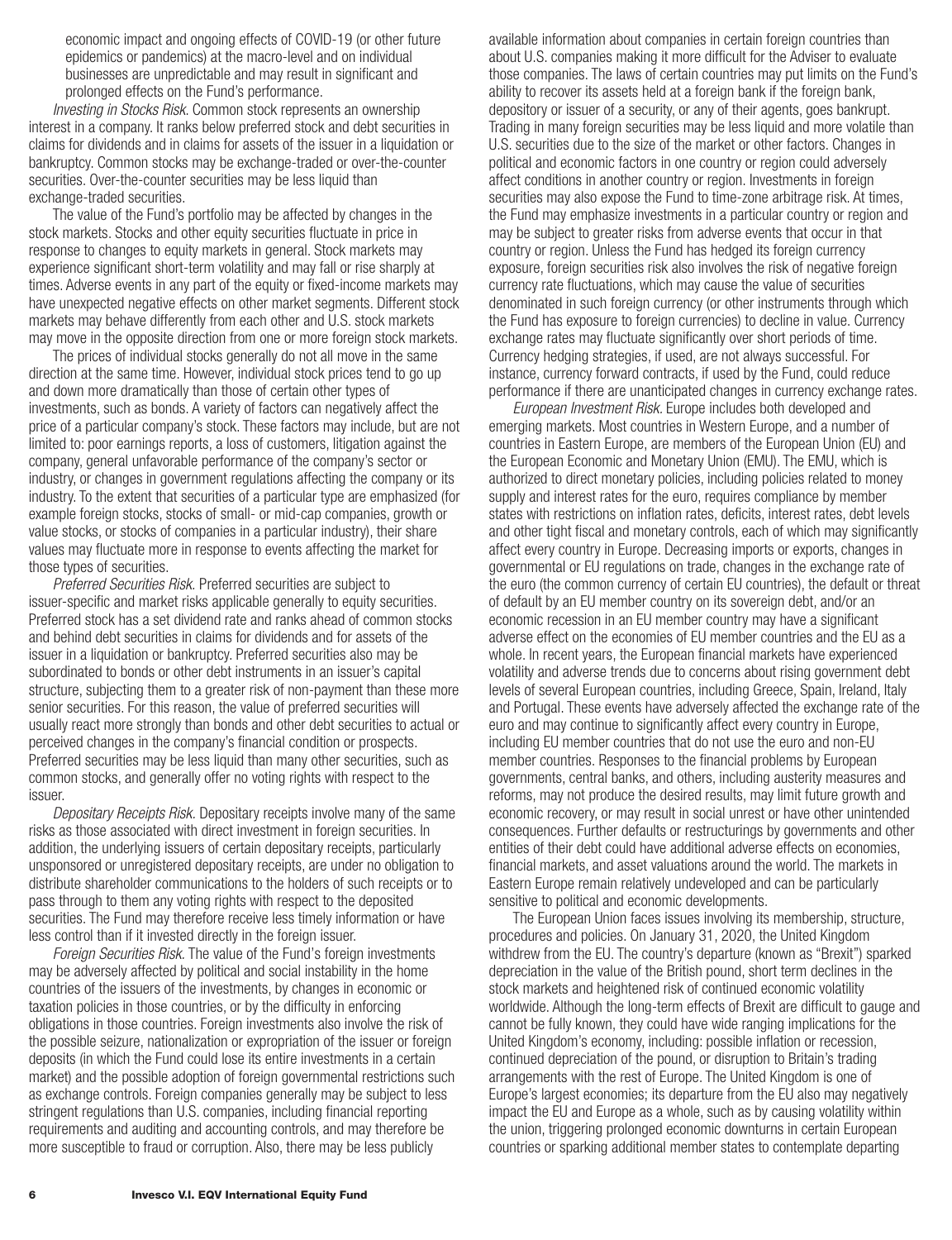economic impact and ongoing effects of COVID-19 (or other future epidemics or pandemics) at the macro-level and on individual businesses are unpredictable and may result in significant and prolonged effects on the Fund's performance.

*Investing in Stocks Risk*. Common stock represents an ownership interest in a company. It ranks below preferred stock and debt securities in claims for dividends and in claims for assets of the issuer in a liquidation or bankruptcy. Common stocks may be exchange-traded or over-the-counter securities. Over-the-counter securities may be less liquid than exchange-traded securities.

The value of the Fund's portfolio may be affected by changes in the stock markets. Stocks and other equity securities fluctuate in price in response to changes to equity markets in general. Stock markets may experience significant short-term volatility and may fall or rise sharply at times. Adverse events in any part of the equity or fixed-income markets may have unexpected negative effects on other market segments. Different stock markets may behave differently from each other and U.S. stock markets may move in the opposite direction from one or more foreign stock markets.

The prices of individual stocks generally do not all move in the same direction at the same time. However, individual stock prices tend to go up and down more dramatically than those of certain other types of investments, such as bonds. A variety of factors can negatively affect the price of a particular company's stock. These factors may include, but are not limited to: poor earnings reports, a loss of customers, litigation against the company, general unfavorable performance of the company's sector or industry, or changes in government regulations affecting the company or its industry. To the extent that securities of a particular type are emphasized (for example foreign stocks, stocks of small- or mid-cap companies, growth or value stocks, or stocks of companies in a particular industry), their share values may fluctuate more in response to events affecting the market for those types of securities.

*Preferred Securities Risk.* Preferred securities are subject to issuer-specific and market risks applicable generally to equity securities. Preferred stock has a set dividend rate and ranks ahead of common stocks and behind debt securities in claims for dividends and for assets of the issuer in a liquidation or bankruptcy. Preferred securities also may be subordinated to bonds or other debt instruments in an issuer's capital structure, subjecting them to a greater risk of non-payment than these more senior securities. For this reason, the value of preferred securities will usually react more strongly than bonds and other debt securities to actual or perceived changes in the company's financial condition or prospects. Preferred securities may be less liquid than many other securities, such as common stocks, and generally offer no voting rights with respect to the issuer.

*Depositary Receipts Risk.* Depositary receipts involve many of the same risks as those associated with direct investment in foreign securities. In addition, the underlying issuers of certain depositary receipts, particularly unsponsored or unregistered depositary receipts, are under no obligation to distribute shareholder communications to the holders of such receipts or to pass through to them any voting rights with respect to the deposited securities. The Fund may therefore receive less timely information or have less control than if it invested directly in the foreign issuer.

*Foreign Securities Risk.* The value of the Fund's foreign investments may be adversely affected by political and social instability in the home countries of the issuers of the investments, by changes in economic or taxation policies in those countries, or by the difficulty in enforcing obligations in those countries. Foreign investments also involve the risk of the possible seizure, nationalization or expropriation of the issuer or foreign deposits (in which the Fund could lose its entire investments in a certain market) and the possible adoption of foreign governmental restrictions such as exchange controls. Foreign companies generally may be subject to less stringent regulations than U.S. companies, including financial reporting requirements and auditing and accounting controls, and may therefore be more susceptible to fraud or corruption. Also, there may be less publicly

available information about companies in certain foreign countries than about U.S. companies making it more difficult for the Adviser to evaluate those companies. The laws of certain countries may put limits on the Fund's ability to recover its assets held at a foreign bank if the foreign bank, depository or issuer of a security, or any of their agents, goes bankrupt. Trading in many foreign securities may be less liquid and more volatile than U.S. securities due to the size of the market or other factors. Changes in political and economic factors in one country or region could adversely affect conditions in another country or region. Investments in foreign securities may also expose the Fund to time-zone arbitrage risk. At times, the Fund may emphasize investments in a particular country or region and may be subject to greater risks from adverse events that occur in that country or region. Unless the Fund has hedged its foreign currency exposure, foreign securities risk also involves the risk of negative foreign currency rate fluctuations, which may cause the value of securities denominated in such foreign currency (or other instruments through which the Fund has exposure to foreign currencies) to decline in value. Currency exchange rates may fluctuate significantly over short periods of time. Currency hedging strategies, if used, are not always successful. For instance, currency forward contracts, if used by the Fund, could reduce performance if there are unanticipated changes in currency exchange rates.

*European Investment Risk.* Europe includes both developed and emerging markets. Most countries in Western Europe, and a number of countries in Eastern Europe, are members of the European Union (EU) and the European Economic and Monetary Union (EMU). The EMU, which is authorized to direct monetary policies, including policies related to money supply and interest rates for the euro, requires compliance by member states with restrictions on inflation rates, deficits, interest rates, debt levels and other tight fiscal and monetary controls, each of which may significantly affect every country in Europe. Decreasing imports or exports, changes in governmental or EU regulations on trade, changes in the exchange rate of the euro (the common currency of certain EU countries), the default or threat of default by an EU member country on its sovereign debt, and/or an economic recession in an EU member country may have a significant adverse effect on the economies of EU member countries and the EU as a whole. In recent years, the European financial markets have experienced volatility and adverse trends due to concerns about rising government debt levels of several European countries, including Greece, Spain, Ireland, Italy and Portugal. These events have adversely affected the exchange rate of the euro and may continue to significantly affect every country in Europe, including EU member countries that do not use the euro and non-EU member countries. Responses to the financial problems by European governments, central banks, and others, including austerity measures and reforms, may not produce the desired results, may limit future growth and economic recovery, or may result in social unrest or have other unintended consequences. Further defaults or restructurings by governments and other entities of their debt could have additional adverse effects on economies, financial markets, and asset valuations around the world. The markets in Eastern Europe remain relatively undeveloped and can be particularly sensitive to political and economic developments.

The European Union faces issues involving its membership, structure, procedures and policies. On January 31, 2020, the United Kingdom withdrew from the EU. The country's departure (known as "Brexit") sparked depreciation in the value of the British pound, short term declines in the stock markets and heightened risk of continued economic volatility worldwide. Although the long-term effects of Brexit are difficult to gauge and cannot be fully known, they could have wide ranging implications for the United Kingdom's economy, including: possible inflation or recession, continued depreciation of the pound, or disruption to Britain's trading arrangements with the rest of Europe. The United Kingdom is one of Europe's largest economies; its departure from the EU also may negatively impact the EU and Europe as a whole, such as by causing volatility within the union, triggering prolonged economic downturns in certain European countries or sparking additional member states to contemplate departing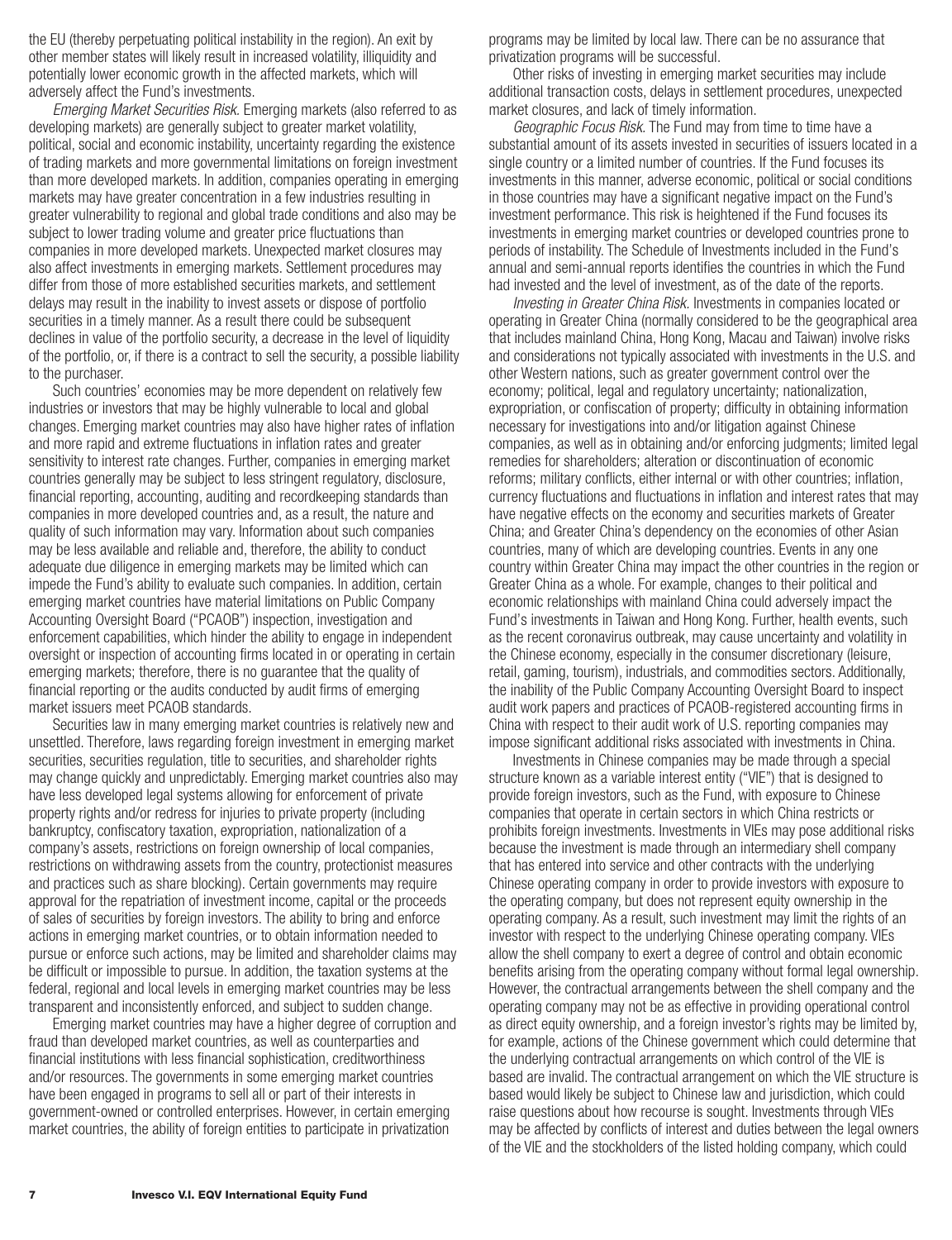the EU (thereby perpetuating political instability in the region). An exit by other member states will likely result in increased volatility, illiquidity and potentially lower economic growth in the affected markets, which will adversely affect the Fund's investments.

*Emerging Market Securities Risk.* Emerging markets (also referred to as developing markets) are generally subject to greater market volatility, political, social and economic instability, uncertainty regarding the existence of trading markets and more governmental limitations on foreign investment than more developed markets. In addition, companies operating in emerging markets may have greater concentration in a few industries resulting in greater vulnerability to regional and global trade conditions and also may be subject to lower trading volume and greater price fluctuations than companies in more developed markets. Unexpected market closures may also affect investments in emerging markets. Settlement procedures may differ from those of more established securities markets, and settlement delays may result in the inability to invest assets or dispose of portfolio securities in a timely manner. As a result there could be subsequent declines in value of the portfolio security, a decrease in the level of liquidity of the portfolio, or, if there is a contract to sell the security, a possible liability to the purchaser.

Such countries' economies may be more dependent on relatively few industries or investors that may be highly vulnerable to local and global changes. Emerging market countries may also have higher rates of inflation and more rapid and extreme fluctuations in inflation rates and greater sensitivity to interest rate changes. Further, companies in emerging market countries generally may be subject to less stringent regulatory, disclosure, financial reporting, accounting, auditing and recordkeeping standards than companies in more developed countries and, as a result, the nature and quality of such information may vary. Information about such companies may be less available and reliable and, therefore, the ability to conduct adequate due diligence in emerging markets may be limited which can impede the Fund's ability to evaluate such companies. In addition, certain emerging market countries have material limitations on Public Company Accounting Oversight Board ("PCAOB") inspection, investigation and enforcement capabilities, which hinder the ability to engage in independent oversight or inspection of accounting firms located in or operating in certain emerging markets; therefore, there is no guarantee that the quality of financial reporting or the audits conducted by audit firms of emerging market issuers meet PCAOB standards.

Securities law in many emerging market countries is relatively new and unsettled. Therefore, laws regarding foreign investment in emerging market securities, securities regulation, title to securities, and shareholder rights may change quickly and unpredictably. Emerging market countries also may have less developed legal systems allowing for enforcement of private property rights and/or redress for injuries to private property (including bankruptcy, confiscatory taxation, expropriation, nationalization of a company's assets, restrictions on foreign ownership of local companies, restrictions on withdrawing assets from the country, protectionist measures and practices such as share blocking). Certain governments may require approval for the repatriation of investment income, capital or the proceeds of sales of securities by foreign investors. The ability to bring and enforce actions in emerging market countries, or to obtain information needed to pursue or enforce such actions, may be limited and shareholder claims may be difficult or impossible to pursue. In addition, the taxation systems at the federal, regional and local levels in emerging market countries may be less transparent and inconsistently enforced, and subject to sudden change.

Emerging market countries may have a higher degree of corruption and fraud than developed market countries, as well as counterparties and financial institutions with less financial sophistication, creditworthiness and/or resources. The governments in some emerging market countries have been engaged in programs to sell all or part of their interests in government-owned or controlled enterprises. However, in certain emerging market countries, the ability of foreign entities to participate in privatization

programs may be limited by local law. There can be no assurance that privatization programs will be successful.

Other risks of investing in emerging market securities may include additional transaction costs, delays in settlement procedures, unexpected market closures, and lack of timely information.

*Geographic Focus Risk.* The Fund may from time to time have a substantial amount of its assets invested in securities of issuers located in a single country or a limited number of countries. If the Fund focuses its investments in this manner, adverse economic, political or social conditions in those countries may have a significant negative impact on the Fund's investment performance. This risk is heightened if the Fund focuses its investments in emerging market countries or developed countries prone to periods of instability. The Schedule of Investments included in the Fund's annual and semi-annual reports identifies the countries in which the Fund had invested and the level of investment, as of the date of the reports.

*Investing in Greater China Risk.* Investments in companies located or operating in Greater China (normally considered to be the geographical area that includes mainland China, Hong Kong, Macau and Taiwan) involve risks and considerations not typically associated with investments in the U.S. and other Western nations, such as greater government control over the economy; political, legal and regulatory uncertainty; nationalization, expropriation, or confiscation of property; difficulty in obtaining information necessary for investigations into and/or litigation against Chinese companies, as well as in obtaining and/or enforcing judgments; limited legal remedies for shareholders; alteration or discontinuation of economic reforms; military conflicts, either internal or with other countries; inflation, currency fluctuations and fluctuations in inflation and interest rates that may have negative effects on the economy and securities markets of Greater China; and Greater China's dependency on the economies of other Asian countries, many of which are developing countries. Events in any one country within Greater China may impact the other countries in the region or Greater China as a whole. For example, changes to their political and economic relationships with mainland China could adversely impact the Fund's investments in Taiwan and Hong Kong. Further, health events, such as the recent coronavirus outbreak, may cause uncertainty and volatility in the Chinese economy, especially in the consumer discretionary (leisure, retail, gaming, tourism), industrials, and commodities sectors. Additionally, the inability of the Public Company Accounting Oversight Board to inspect audit work papers and practices of PCAOB-registered accounting firms in China with respect to their audit work of U.S. reporting companies may impose significant additional risks associated with investments in China.

Investments in Chinese companies may be made through a special structure known as a variable interest entity ("VIE") that is designed to provide foreign investors, such as the Fund, with exposure to Chinese companies that operate in certain sectors in which China restricts or prohibits foreign investments. Investments in VIEs may pose additional risks because the investment is made through an intermediary shell company that has entered into service and other contracts with the underlying Chinese operating company in order to provide investors with exposure to the operating company, but does not represent equity ownership in the operating company. As a result, such investment may limit the rights of an investor with respect to the underlying Chinese operating company. VIEs allow the shell company to exert a degree of control and obtain economic benefits arising from the operating company without formal legal ownership. However, the contractual arrangements between the shell company and the operating company may not be as effective in providing operational control as direct equity ownership, and a foreign investor's rights may be limited by, for example, actions of the Chinese government which could determine that the underlying contractual arrangements on which control of the VIE is based are invalid. The contractual arrangement on which the VIE structure is based would likely be subject to Chinese law and jurisdiction, which could raise questions about how recourse is sought. Investments through VIEs may be affected by conflicts of interest and duties between the legal owners of the VIE and the stockholders of the listed holding company, which could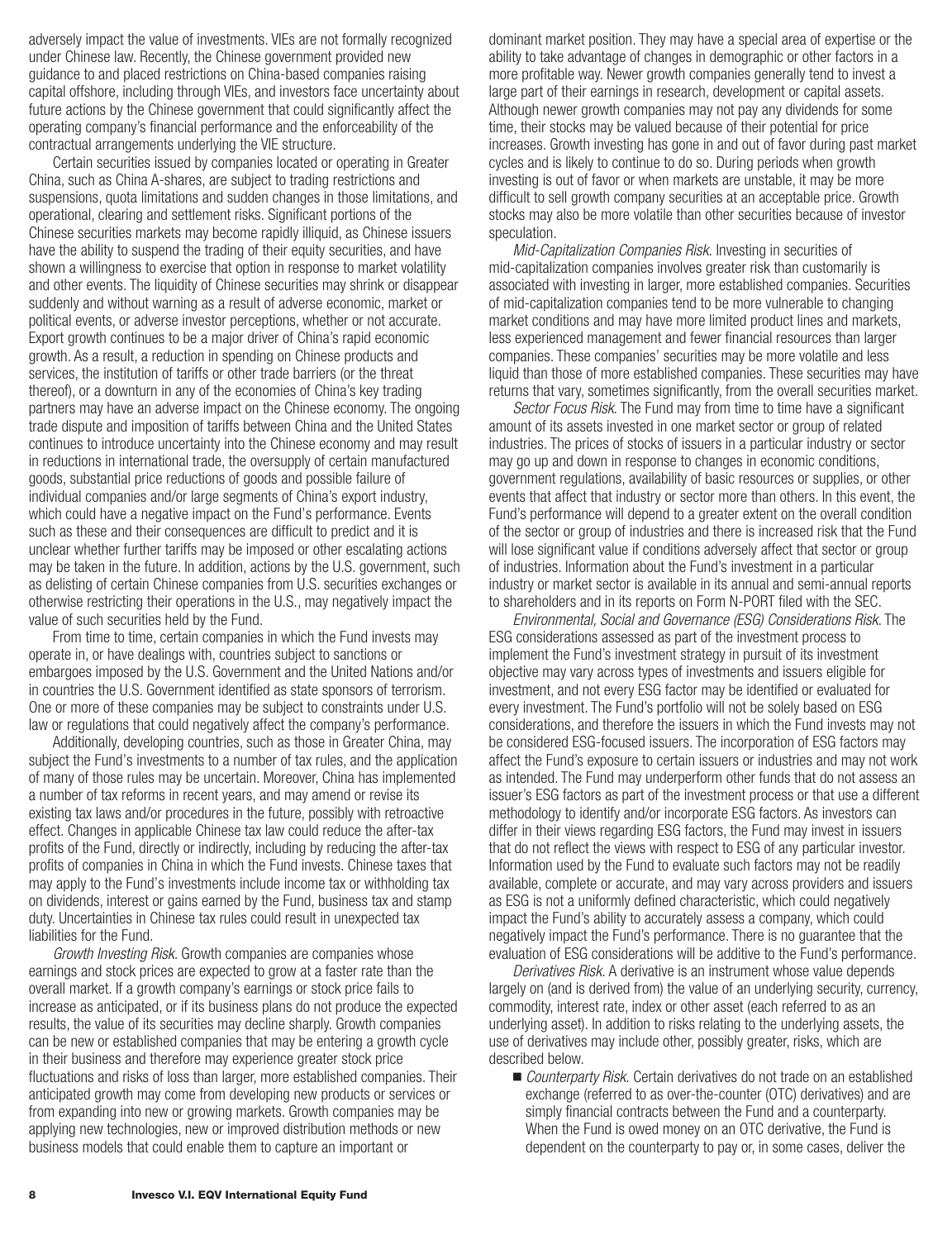adversely impact the value of investments. VIEs are not formally recognized under Chinese law. Recently, the Chinese government provided new guidance to and placed restrictions on China-based companies raising capital offshore, including through VIEs, and investors face uncertainty about future actions by the Chinese government that could significantly affect the operating company's financial performance and the enforceability of the contractual arrangements underlying the VIE structure.

Certain securities issued by companies located or operating in Greater China, such as China A-shares, are subject to trading restrictions and suspensions, quota limitations and sudden changes in those limitations, and operational, clearing and settlement risks. Significant portions of the Chinese securities markets may become rapidly illiquid, as Chinese issuers have the ability to suspend the trading of their equity securities, and have shown a willingness to exercise that option in response to market volatility and other events. The liquidity of Chinese securities may shrink or disappear suddenly and without warning as a result of adverse economic, market or political events, or adverse investor perceptions, whether or not accurate. Export growth continues to be a major driver of China's rapid economic growth. As a result, a reduction in spending on Chinese products and services, the institution of tariffs or other trade barriers (or the threat thereof), or a downturn in any of the economies of China's key trading partners may have an adverse impact on the Chinese economy. The ongoing trade dispute and imposition of tariffs between China and the United States continues to introduce uncertainty into the Chinese economy and may result in reductions in international trade, the oversupply of certain manufactured goods, substantial price reductions of goods and possible failure of individual companies and/or large segments of China's export industry, which could have a negative impact on the Fund's performance. Events such as these and their consequences are difficult to predict and it is unclear whether further tariffs may be imposed or other escalating actions may be taken in the future. In addition, actions by the U.S. government, such as delisting of certain Chinese companies from U.S. securities exchanges or otherwise restricting their operations in the U.S., may negatively impact the value of such securities held by the Fund.

From time to time, certain companies in which the Fund invests may operate in, or have dealings with, countries subject to sanctions or embargoes imposed by the U.S. Government and the United Nations and/or in countries the U.S. Government identified as state sponsors of terrorism. One or more of these companies may be subject to constraints under U.S. law or regulations that could negatively affect the company's performance.

Additionally, developing countries, such as those in Greater China, may subject the Fund's investments to a number of tax rules, and the application of many of those rules may be uncertain. Moreover, China has implemented a number of tax reforms in recent years, and may amend or revise its existing tax laws and/or procedures in the future, possibly with retroactive effect. Changes in applicable Chinese tax law could reduce the after-tax profits of the Fund, directly or indirectly, including by reducing the after-tax profits of companies in China in which the Fund invests. Chinese taxes that may apply to the Fund's investments include income tax or withholding tax on dividends, interest or gains earned by the Fund, business tax and stamp duty. Uncertainties in Chinese tax rules could result in unexpected tax liabilities for the Fund.

*Growth Investing Risk*. Growth companies are companies whose earnings and stock prices are expected to grow at a faster rate than the overall market. If a growth company's earnings or stock price fails to increase as anticipated, or if its business plans do not produce the expected results, the value of its securities may decline sharply. Growth companies can be new or established companies that may be entering a growth cycle in their business and therefore may experience greater stock price fluctuations and risks of loss than larger, more established companies. Their anticipated growth may come from developing new products or services or from expanding into new or growing markets. Growth companies may be applying new technologies, new or improved distribution methods or new business models that could enable them to capture an important or

dominant market position. They may have a special area of expertise or the ability to take advantage of changes in demographic or other factors in a more profitable way. Newer growth companies generally tend to invest a large part of their earnings in research, development or capital assets. Although newer growth companies may not pay any dividends for some time, their stocks may be valued because of their potential for price increases. Growth investing has gone in and out of favor during past market cycles and is likely to continue to do so. During periods when growth investing is out of favor or when markets are unstable, it may be more difficult to sell growth company securities at an acceptable price. Growth stocks may also be more volatile than other securities because of investor speculation.

*Mid-Capitalization Companies Risk.* Investing in securities of mid-capitalization companies involves greater risk than customarily is associated with investing in larger, more established companies. Securities of mid-capitalization companies tend to be more vulnerable to changing market conditions and may have more limited product lines and markets, less experienced management and fewer financial resources than larger companies. These companies' securities may be more volatile and less liquid than those of more established companies. These securities may have returns that vary, sometimes significantly, from the overall securities market.

*Sector Focus Risk*. The Fund may from time to time have a significant amount of its assets invested in one market sector or group of related industries. The prices of stocks of issuers in a particular industry or sector may go up and down in response to changes in economic conditions, government regulations, availability of basic resources or supplies, or other events that affect that industry or sector more than others. In this event, the Fund's performance will depend to a greater extent on the overall condition of the sector or group of industries and there is increased risk that the Fund will lose significant value if conditions adversely affect that sector or group of industries. Information about the Fund's investment in a particular industry or market sector is available in its annual and semi-annual reports to shareholders and in its reports on Form N-PORT filed with the SEC.

*Environmental, Social and Governance (ESG) Considerations Risk*. The ESG considerations assessed as part of the investment process to implement the Fund's investment strategy in pursuit of its investment objective may vary across types of investments and issuers eligible for investment, and not every ESG factor may be identified or evaluated for every investment. The Fund's portfolio will not be solely based on ESG considerations, and therefore the issuers in which the Fund invests may not be considered ESG-focused issuers. The incorporation of ESG factors may affect the Fund's exposure to certain issuers or industries and may not work as intended. The Fund may underperform other funds that do not assess an issuer's ESG factors as part of the investment process or that use a different methodology to identify and/or incorporate ESG factors. As investors can differ in their views regarding ESG factors, the Fund may invest in issuers that do not reflect the views with respect to ESG of any particular investor. Information used by the Fund to evaluate such factors may not be readily available, complete or accurate, and may vary across providers and issuers as ESG is not a uniformly defined characteristic, which could negatively impact the Fund's ability to accurately assess a company, which could negatively impact the Fund's performance. There is no guarantee that the evaluation of ESG considerations will be additive to the Fund's performance.

*Derivatives Risk.* A derivative is an instrument whose value depends largely on (and is derived from) the value of an underlying security, currency, commodity, interest rate, index or other asset (each referred to as an underlying asset). In addition to risks relating to the underlying assets, the use of derivatives may include other, possibly greater, risks, which are described below.

■ *Counterparty Risk.* Certain derivatives do not trade on an established exchange (referred to as over-the-counter (OTC) derivatives) and are simply financial contracts between the Fund and a counterparty. When the Fund is owed money on an OTC derivative, the Fund is dependent on the counterparty to pay or, in some cases, deliver the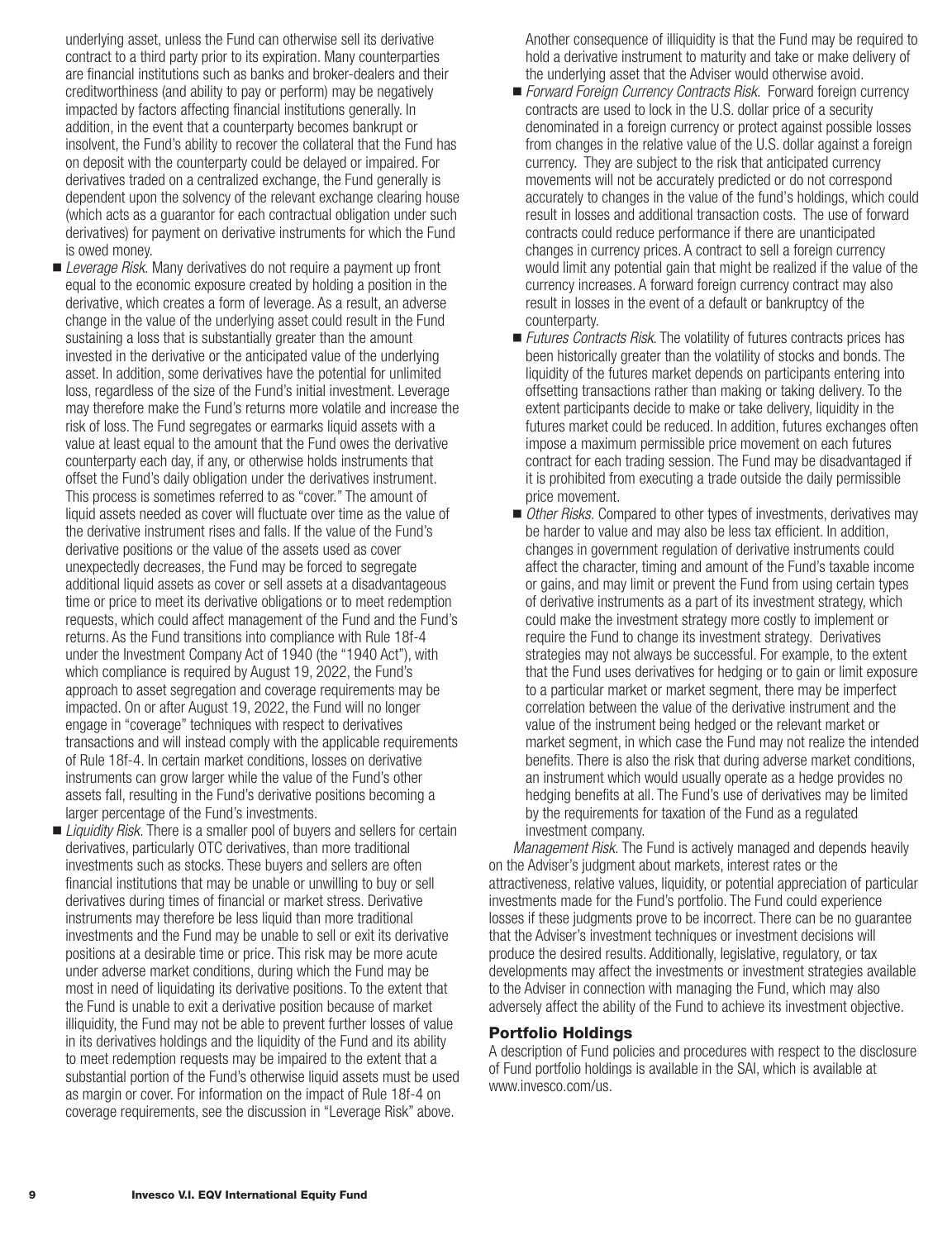underlying asset, unless the Fund can otherwise sell its derivative contract to a third party prior to its expiration. Many counterparties are financial institutions such as banks and broker-dealers and their creditworthiness (and ability to pay or perform) may be negatively impacted by factors affecting financial institutions generally. In addition, in the event that a counterparty becomes bankrupt or insolvent, the Fund's ability to recover the collateral that the Fund has on deposit with the counterparty could be delayed or impaired. For derivatives traded on a centralized exchange, the Fund generally is dependent upon the solvency of the relevant exchange clearing house (which acts as a guarantor for each contractual obligation under such derivatives) for payment on derivative instruments for which the Fund is owed money.

- *Leverage Risk.* Many derivatives do not require a payment up front equal to the economic exposure created by holding a position in the derivative, which creates a form of leverage. As a result, an adverse change in the value of the underlying asset could result in the Fund sustaining a loss that is substantially greater than the amount invested in the derivative or the anticipated value of the underlying asset. In addition, some derivatives have the potential for unlimited loss, regardless of the size of the Fund's initial investment. Leverage may therefore make the Fund's returns more volatile and increase the risk of loss. The Fund segregates or earmarks liquid assets with a value at least equal to the amount that the Fund owes the derivative counterparty each day, if any, or otherwise holds instruments that offset the Fund's daily obligation under the derivatives instrument. This process is sometimes referred to as "cover." The amount of liquid assets needed as cover will fluctuate over time as the value of the derivative instrument rises and falls. If the value of the Fund's derivative positions or the value of the assets used as cover unexpectedly decreases, the Fund may be forced to segregate additional liquid assets as cover or sell assets at a disadvantageous time or price to meet its derivative obligations or to meet redemption requests, which could affect management of the Fund and the Fund's returns. As the Fund transitions into compliance with Rule 18f-4 under the Investment Company Act of 1940 (the "1940 Act"), with which compliance is required by August 19, 2022, the Fund's approach to asset segregation and coverage requirements may be impacted. On or after August 19, 2022, the Fund will no longer engage in "coverage" techniques with respect to derivatives transactions and will instead comply with the applicable requirements of Rule 18f-4. In certain market conditions, losses on derivative instruments can grow larger while the value of the Fund's other assets fall, resulting in the Fund's derivative positions becoming a larger percentage of the Fund's investments.
- *Liquidity Risk*. There is a smaller pool of buyers and sellers for certain derivatives, particularly OTC derivatives, than more traditional investments such as stocks. These buyers and sellers are often financial institutions that may be unable or unwilling to buy or sell derivatives during times of financial or market stress. Derivative instruments may therefore be less liquid than more traditional investments and the Fund may be unable to sell or exit its derivative positions at a desirable time or price. This risk may be more acute under adverse market conditions, during which the Fund may be most in need of liquidating its derivative positions. To the extent that the Fund is unable to exit a derivative position because of market illiquidity, the Fund may not be able to prevent further losses of value in its derivatives holdings and the liquidity of the Fund and its ability to meet redemption requests may be impaired to the extent that a substantial portion of the Fund's otherwise liquid assets must be used as margin or cover. For information on the impact of Rule 18f-4 on coverage requirements, see the discussion in "Leverage Risk" above.

Another consequence of illiquidity is that the Fund may be required to hold a derivative instrument to maturity and take or make delivery of the underlying asset that the Adviser would otherwise avoid.

- *Forward Foreign Currency Contracts Risk*. Forward foreign currency contracts are used to lock in the U.S. dollar price of a security denominated in a foreign currency or protect against possible losses from changes in the relative value of the U.S. dollar against a foreign currency. They are subject to the risk that anticipated currency movements will not be accurately predicted or do not correspond accurately to changes in the value of the fund's holdings, which could result in losses and additional transaction costs. The use of forward contracts could reduce performance if there are unanticipated changes in currency prices. A contract to sell a foreign currency would limit any potential gain that might be realized if the value of the currency increases. A forward foreign currency contract may also result in losses in the event of a default or bankruptcy of the counterparty.
- *Futures Contracts Risk*. The volatility of futures contracts prices has been historically greater than the volatility of stocks and bonds. The liquidity of the futures market depends on participants entering into offsetting transactions rather than making or taking delivery. To the extent participants decide to make or take delivery, liquidity in the futures market could be reduced. In addition, futures exchanges often impose a maximum permissible price movement on each futures contract for each trading session. The Fund may be disadvantaged if it is prohibited from executing a trade outside the daily permissible price movement.
- Other Risks. Compared to other types of investments, derivatives may be harder to value and may also be less tax efficient. In addition, changes in government regulation of derivative instruments could affect the character, timing and amount of the Fund's taxable income or gains, and may limit or prevent the Fund from using certain types of derivative instruments as a part of its investment strategy, which could make the investment strategy more costly to implement or require the Fund to change its investment strategy. Derivatives strategies may not always be successful. For example, to the extent that the Fund uses derivatives for hedging or to gain or limit exposure to a particular market or market segment, there may be imperfect correlation between the value of the derivative instrument and the value of the instrument being hedged or the relevant market or market segment, in which case the Fund may not realize the intended benefits. There is also the risk that during adverse market conditions, an instrument which would usually operate as a hedge provides no hedging benefits at all. The Fund's use of derivatives may be limited by the requirements for taxation of the Fund as a regulated investment company.

*Management Risk.* The Fund is actively managed and depends heavily on the Adviser's judgment about markets, interest rates or the attractiveness, relative values, liquidity, or potential appreciation of particular investments made for the Fund's portfolio. The Fund could experience losses if these judgments prove to be incorrect. There can be no guarantee that the Adviser's investment techniques or investment decisions will produce the desired results. Additionally, legislative, regulatory, or tax developments may affect the investments or investment strategies available to the Adviser in connection with managing the Fund, which may also adversely affect the ability of the Fund to achieve its investment objective.

### **Portfolio Holdings**

A description of Fund policies and procedures with respect to the disclosure of Fund portfolio holdings is available in the SAI, which is available at www.invesco.com/us.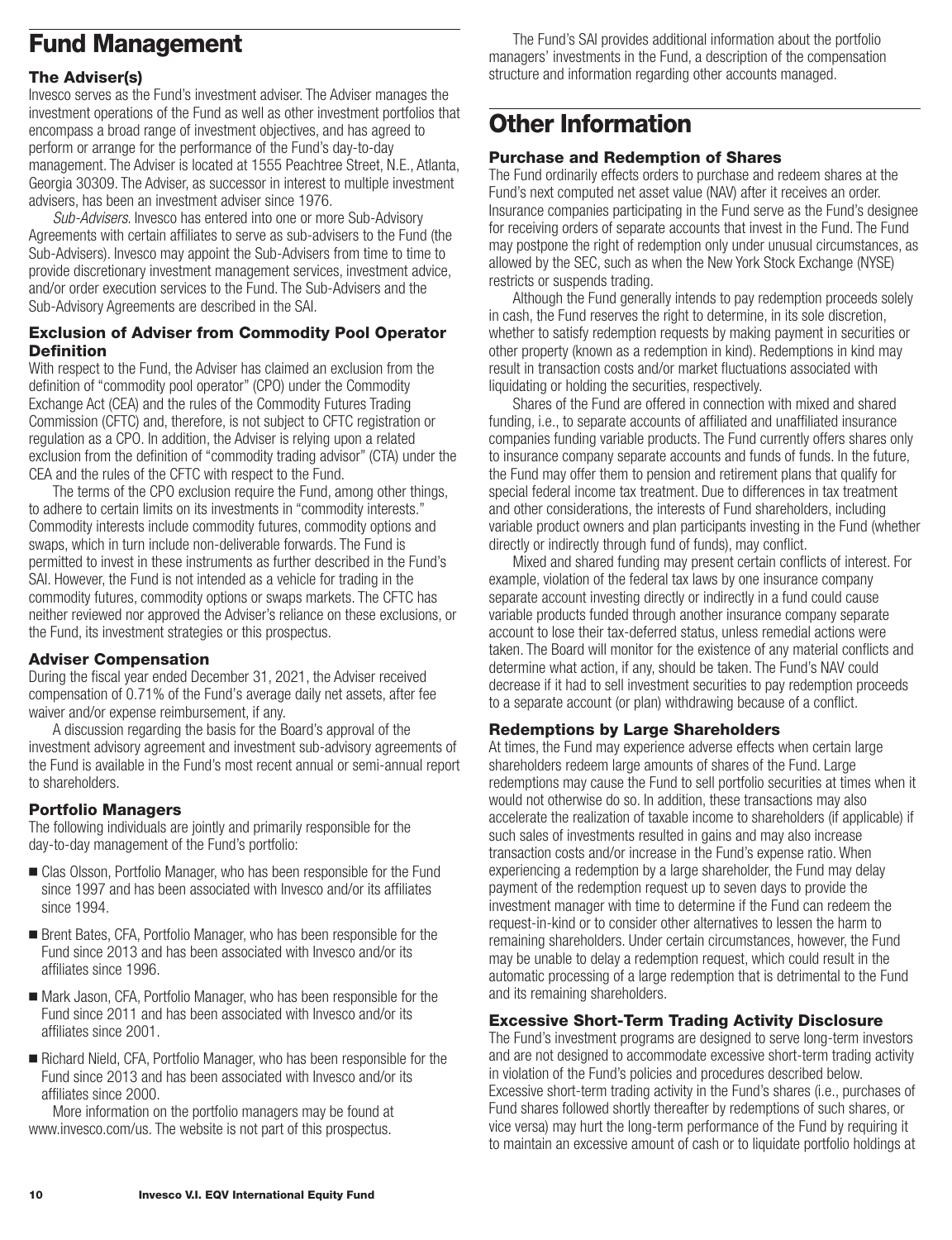# <span id="page-11-0"></span>**Fund Management**

### **The Adviser(s)**

Invesco serves as the Fund's investment adviser. The Adviser manages the investment operations of the Fund as well as other investment portfolios that encompass a broad range of investment objectives, and has agreed to perform or arrange for the performance of the Fund's day-to-day management. The Adviser is located at 1555 Peachtree Street, N.E., Atlanta, Georgia 30309. The Adviser, as successor in interest to multiple investment advisers, has been an investment adviser since 1976.

*Sub-Advisers*. Invesco has entered into one or more Sub-Advisory Agreements with certain affiliates to serve as sub-advisers to the Fund (the Sub-Advisers). Invesco may appoint the Sub-Advisers from time to time to provide discretionary investment management services, investment advice, and/or order execution services to the Fund. The Sub-Advisers and the Sub-Advisory Agreements are described in the SAI.

### **Exclusion of Adviser from Commodity Pool Operator Definition**

With respect to the Fund, the Adviser has claimed an exclusion from the definition of "commodity pool operator" (CPO) under the Commodity Exchange Act (CEA) and the rules of the Commodity Futures Trading Commission (CFTC) and, therefore, is not subject to CFTC registration or regulation as a CPO. In addition, the Adviser is relying upon a related exclusion from the definition of "commodity trading advisor" (CTA) under the CEA and the rules of the CFTC with respect to the Fund.

The terms of the CPO exclusion require the Fund, among other things, to adhere to certain limits on its investments in "commodity interests." Commodity interests include commodity futures, commodity options and swaps, which in turn include non-deliverable forwards. The Fund is permitted to invest in these instruments as further described in the Fund's SAI. However, the Fund is not intended as a vehicle for trading in the commodity futures, commodity options or swaps markets. The CFTC has neither reviewed nor approved the Adviser's reliance on these exclusions, or the Fund, its investment strategies or this prospectus.

### **Adviser Compensation**

During the fiscal year ended December 31, 2021, the Adviser received compensation of 0.71% of the Fund's average daily net assets, after fee waiver and/or expense reimbursement, if any.

A discussion regarding the basis for the Board's approval of the investment advisory agreement and investment sub-advisory agreements of the Fund is available in the Fund's most recent annual or semi-annual report to shareholders.

### **Portfolio Managers**

The following individuals are jointly and primarily responsible for the day-to-day management of the Fund's portfolio:

- Clas Olsson, Portfolio Manager, who has been responsible for the Fund since 1997 and has been associated with Invesco and/or its affiliates since 1994.
- Brent Bates, CFA, Portfolio Manager, who has been responsible for the Fund since 2013 and has been associated with Invesco and/or its affiliates since 1996.
- Mark Jason, CFA, Portfolio Manager, who has been responsible for the Fund since 2011 and has been associated with Invesco and/or its affiliates since 2001.
- Richard Nield, CFA, Portfolio Manager, who has been responsible for the Fund since 2013 and has been associated with Invesco and/or its affiliates since 2000.

More information on the portfolio managers may be found at www.invesco.com/us. The website is not part of this prospectus.

The Fund's SAI provides additional information about the portfolio managers' investments in the Fund, a description of the compensation structure and information regarding other accounts managed.

# **Other Information**

### **Purchase and Redemption of Shares**

The Fund ordinarily effects orders to purchase and redeem shares at the Fund's next computed net asset value (NAV) after it receives an order. Insurance companies participating in the Fund serve as the Fund's designee for receiving orders of separate accounts that invest in the Fund. The Fund may postpone the right of redemption only under unusual circumstances, as allowed by the SEC, such as when the New York Stock Exchange (NYSE) restricts or suspends trading.

Although the Fund generally intends to pay redemption proceeds solely in cash, the Fund reserves the right to determine, in its sole discretion, whether to satisfy redemption requests by making payment in securities or other property (known as a redemption in kind). Redemptions in kind may result in transaction costs and/or market fluctuations associated with liquidating or holding the securities, respectively.

Shares of the Fund are offered in connection with mixed and shared funding, i.e., to separate accounts of affiliated and unaffiliated insurance companies funding variable products. The Fund currently offers shares only to insurance company separate accounts and funds of funds. In the future, the Fund may offer them to pension and retirement plans that qualify for special federal income tax treatment. Due to differences in tax treatment and other considerations, the interests of Fund shareholders, including variable product owners and plan participants investing in the Fund (whether directly or indirectly through fund of funds), may conflict.

Mixed and shared funding may present certain conflicts of interest. For example, violation of the federal tax laws by one insurance company separate account investing directly or indirectly in a fund could cause variable products funded through another insurance company separate account to lose their tax-deferred status, unless remedial actions were taken. The Board will monitor for the existence of any material conflicts and determine what action, if any, should be taken. The Fund's NAV could decrease if it had to sell investment securities to pay redemption proceeds to a separate account (or plan) withdrawing because of a conflict.

### **Redemptions by Large Shareholders**

At times, the Fund may experience adverse effects when certain large shareholders redeem large amounts of shares of the Fund. Large redemptions may cause the Fund to sell portfolio securities at times when it would not otherwise do so. In addition, these transactions may also accelerate the realization of taxable income to shareholders (if applicable) if such sales of investments resulted in gains and may also increase transaction costs and/or increase in the Fund's expense ratio. When experiencing a redemption by a large shareholder, the Fund may delay payment of the redemption request up to seven days to provide the investment manager with time to determine if the Fund can redeem the request-in-kind or to consider other alternatives to lessen the harm to remaining shareholders. Under certain circumstances, however, the Fund may be unable to delay a redemption request, which could result in the automatic processing of a large redemption that is detrimental to the Fund and its remaining shareholders.

### **Excessive Short-Term Trading Activity Disclosure**

The Fund's investment programs are designed to serve long-term investors and are not designed to accommodate excessive short-term trading activity in violation of the Fund's policies and procedures described below. Excessive short-term trading activity in the Fund's shares (i.e., purchases of Fund shares followed shortly thereafter by redemptions of such shares, or vice versa) may hurt the long-term performance of the Fund by requiring it to maintain an excessive amount of cash or to liquidate portfolio holdings at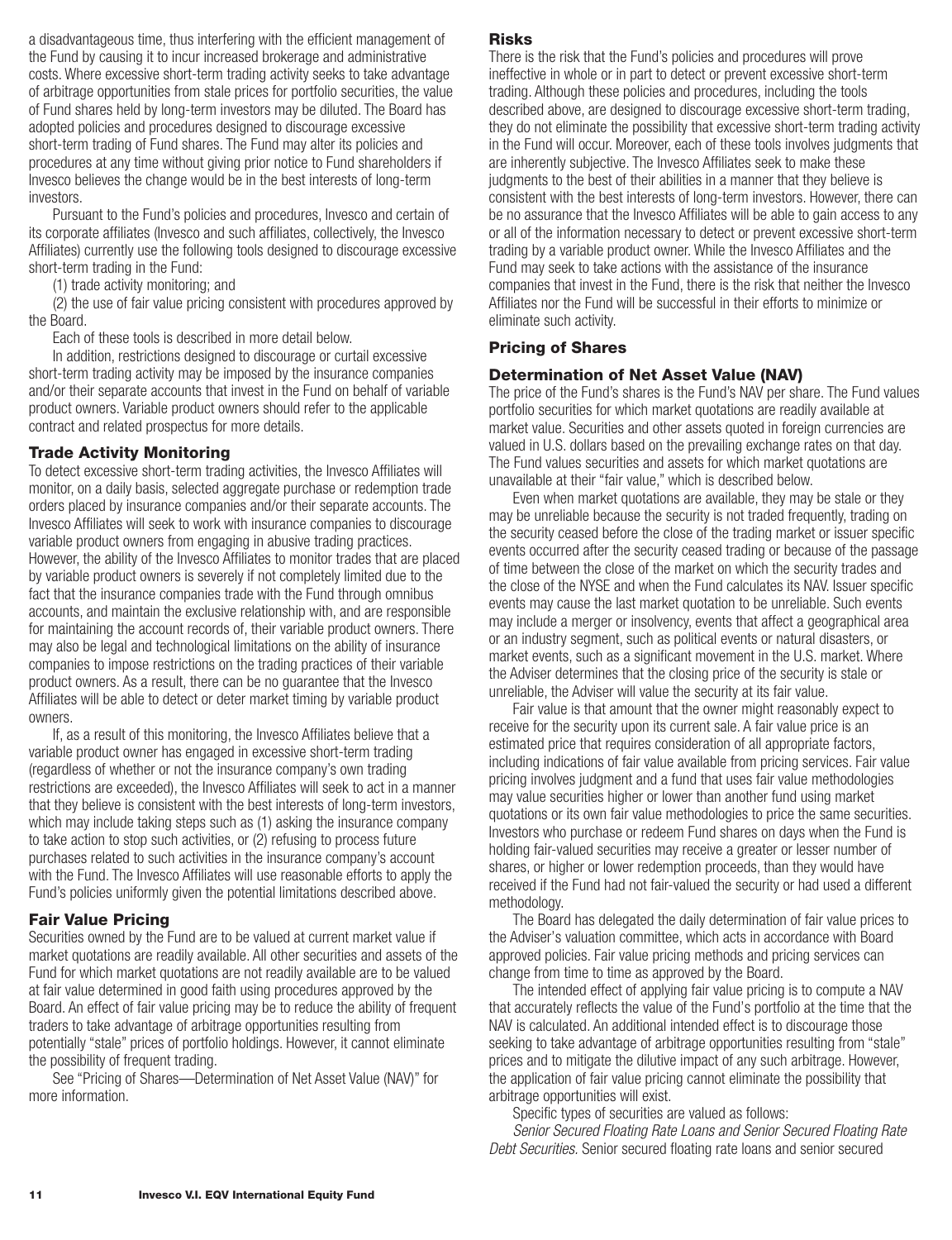<span id="page-12-0"></span>a disadvantageous time, thus interfering with the efficient management of the Fund by causing it to incur increased brokerage and administrative costs. Where excessive short-term trading activity seeks to take advantage of arbitrage opportunities from stale prices for portfolio securities, the value of Fund shares held by long-term investors may be diluted. The Board has adopted policies and procedures designed to discourage excessive short-term trading of Fund shares. The Fund may alter its policies and procedures at any time without giving prior notice to Fund shareholders if Invesco believes the change would be in the best interests of long-term investors.

Pursuant to the Fund's policies and procedures, Invesco and certain of its corporate affiliates (Invesco and such affiliates, collectively, the Invesco Affiliates) currently use the following tools designed to discourage excessive short-term trading in the Fund:

(1) trade activity monitoring; and

(2) the use of fair value pricing consistent with procedures approved by the Board.

Each of these tools is described in more detail below.

In addition, restrictions designed to discourage or curtail excessive short-term trading activity may be imposed by the insurance companies and/or their separate accounts that invest in the Fund on behalf of variable product owners. Variable product owners should refer to the applicable contract and related prospectus for more details.

### **Trade Activity Monitoring**

To detect excessive short-term trading activities, the Invesco Affiliates will monitor, on a daily basis, selected aggregate purchase or redemption trade orders placed by insurance companies and/or their separate accounts. The Invesco Affiliates will seek to work with insurance companies to discourage variable product owners from engaging in abusive trading practices. However, the ability of the Invesco Affiliates to monitor trades that are placed by variable product owners is severely if not completely limited due to the fact that the insurance companies trade with the Fund through omnibus accounts, and maintain the exclusive relationship with, and are responsible for maintaining the account records of, their variable product owners. There may also be legal and technological limitations on the ability of insurance companies to impose restrictions on the trading practices of their variable product owners. As a result, there can be no guarantee that the Invesco Affiliates will be able to detect or deter market timing by variable product owners.

If, as a result of this monitoring, the Invesco Affiliates believe that a variable product owner has engaged in excessive short-term trading (regardless of whether or not the insurance company's own trading restrictions are exceeded), the Invesco Affiliates will seek to act in a manner that they believe is consistent with the best interests of long-term investors, which may include taking steps such as (1) asking the insurance company to take action to stop such activities, or (2) refusing to process future purchases related to such activities in the insurance company's account with the Fund. The Invesco Affiliates will use reasonable efforts to apply the Fund's policies uniformly given the potential limitations described above.

### **Fair Value Pricing**

Securities owned by the Fund are to be valued at current market value if market quotations are readily available. All other securities and assets of the Fund for which market quotations are not readily available are to be valued at fair value determined in good faith using procedures approved by the Board. An effect of fair value pricing may be to reduce the ability of frequent traders to take advantage of arbitrage opportunities resulting from potentially "stale" prices of portfolio holdings. However, it cannot eliminate the possibility of frequent trading.

See "Pricing of Shares—Determination of Net Asset Value (NAV)" for more information.

### **Risks**

There is the risk that the Fund's policies and procedures will prove ineffective in whole or in part to detect or prevent excessive short-term trading. Although these policies and procedures, including the tools described above, are designed to discourage excessive short-term trading, they do not eliminate the possibility that excessive short-term trading activity in the Fund will occur. Moreover, each of these tools involves judgments that are inherently subjective. The Invesco Affiliates seek to make these judgments to the best of their abilities in a manner that they believe is consistent with the best interests of long-term investors. However, there can be no assurance that the Invesco Affiliates will be able to gain access to any or all of the information necessary to detect or prevent excessive short-term trading by a variable product owner. While the Invesco Affiliates and the Fund may seek to take actions with the assistance of the insurance companies that invest in the Fund, there is the risk that neither the Invesco Affiliates nor the Fund will be successful in their efforts to minimize or eliminate such activity.

### **Pricing of Shares**

### **Determination of Net Asset Value (NAV)**

The price of the Fund's shares is the Fund's NAV per share. The Fund values portfolio securities for which market quotations are readily available at market value. Securities and other assets quoted in foreign currencies are valued in U.S. dollars based on the prevailing exchange rates on that day. The Fund values securities and assets for which market quotations are unavailable at their "fair value," which is described below.

Even when market quotations are available, they may be stale or they may be unreliable because the security is not traded frequently, trading on the security ceased before the close of the trading market or issuer specific events occurred after the security ceased trading or because of the passage of time between the close of the market on which the security trades and the close of the NYSE and when the Fund calculates its NAV. Issuer specific events may cause the last market quotation to be unreliable. Such events may include a merger or insolvency, events that affect a geographical area or an industry segment, such as political events or natural disasters, or market events, such as a significant movement in the U.S. market. Where the Adviser determines that the closing price of the security is stale or unreliable, the Adviser will value the security at its fair value.

Fair value is that amount that the owner might reasonably expect to receive for the security upon its current sale. A fair value price is an estimated price that requires consideration of all appropriate factors, including indications of fair value available from pricing services. Fair value pricing involves judgment and a fund that uses fair value methodologies may value securities higher or lower than another fund using market quotations or its own fair value methodologies to price the same securities. Investors who purchase or redeem Fund shares on days when the Fund is holding fair-valued securities may receive a greater or lesser number of shares, or higher or lower redemption proceeds, than they would have received if the Fund had not fair-valued the security or had used a different methodology.

The Board has delegated the daily determination of fair value prices to the Adviser's valuation committee, which acts in accordance with Board approved policies. Fair value pricing methods and pricing services can change from time to time as approved by the Board.

The intended effect of applying fair value pricing is to compute a NAV that accurately reflects the value of the Fund's portfolio at the time that the NAV is calculated. An additional intended effect is to discourage those seeking to take advantage of arbitrage opportunities resulting from "stale" prices and to mitigate the dilutive impact of any such arbitrage. However, the application of fair value pricing cannot eliminate the possibility that arbitrage opportunities will exist.

Specific types of securities are valued as follows:

*Senior Secured Floating Rate Loans and Senior Secured Floating Rate Debt Securities.* Senior secured floating rate loans and senior secured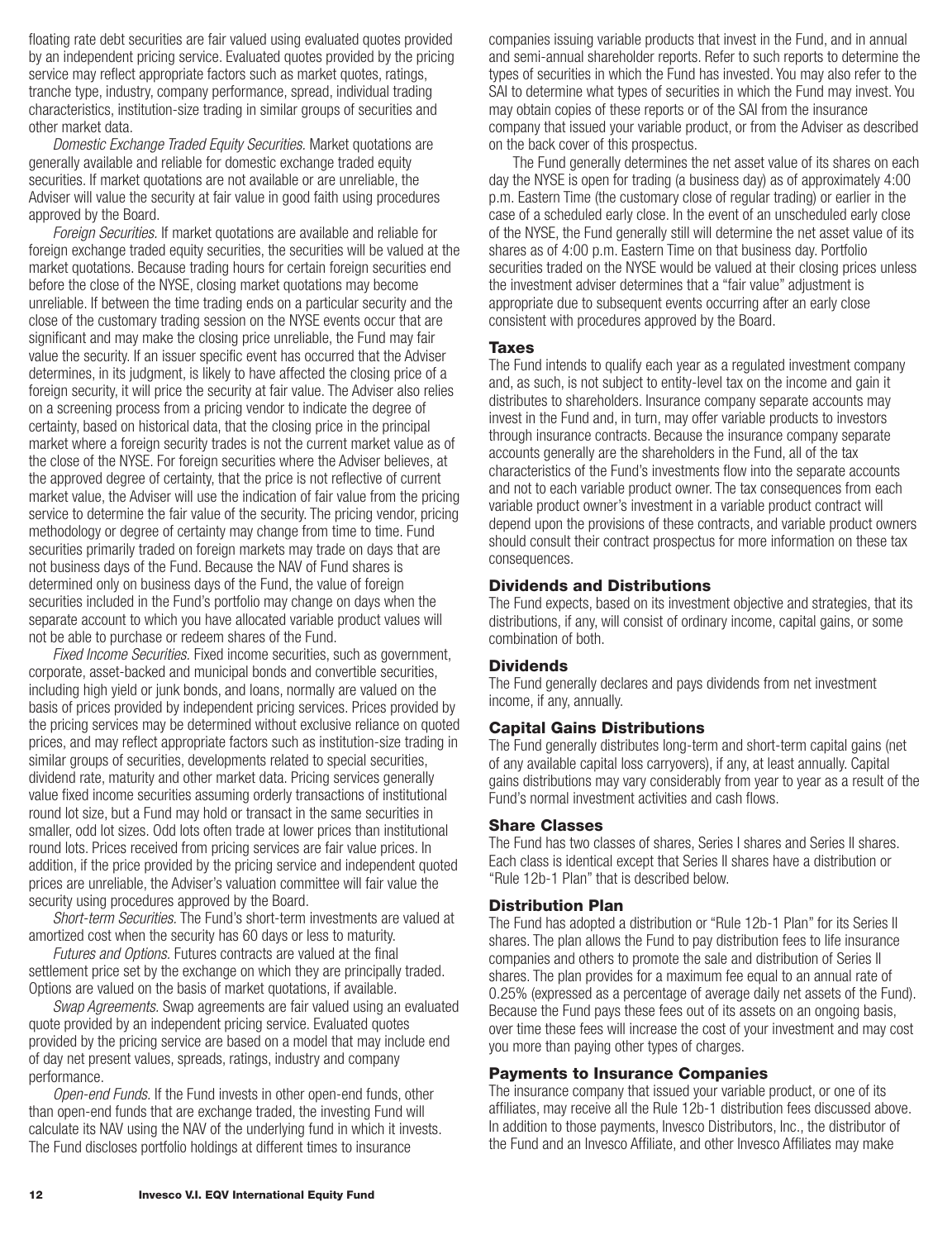<span id="page-13-0"></span>floating rate debt securities are fair valued using evaluated quotes provided by an independent pricing service. Evaluated quotes provided by the pricing service may reflect appropriate factors such as market quotes, ratings, tranche type, industry, company performance, spread, individual trading characteristics, institution-size trading in similar groups of securities and other market data.

*Domestic Exchange Traded Equity Securities.* Market quotations are generally available and reliable for domestic exchange traded equity securities. If market quotations are not available or are unreliable, the Adviser will value the security at fair value in good faith using procedures approved by the Board.

*Foreign Securities.* If market quotations are available and reliable for foreign exchange traded equity securities, the securities will be valued at the market quotations. Because trading hours for certain foreign securities end before the close of the NYSE, closing market quotations may become unreliable. If between the time trading ends on a particular security and the close of the customary trading session on the NYSE events occur that are significant and may make the closing price unreliable, the Fund may fair value the security. If an issuer specific event has occurred that the Adviser determines, in its judgment, is likely to have affected the closing price of a foreign security, it will price the security at fair value. The Adviser also relies on a screening process from a pricing vendor to indicate the degree of certainty, based on historical data, that the closing price in the principal market where a foreign security trades is not the current market value as of the close of the NYSE. For foreign securities where the Adviser believes, at the approved degree of certainty, that the price is not reflective of current market value, the Adviser will use the indication of fair value from the pricing service to determine the fair value of the security. The pricing vendor, pricing methodology or degree of certainty may change from time to time. Fund securities primarily traded on foreign markets may trade on days that are not business days of the Fund. Because the NAV of Fund shares is determined only on business days of the Fund, the value of foreign securities included in the Fund's portfolio may change on days when the separate account to which you have allocated variable product values will not be able to purchase or redeem shares of the Fund.

*Fixed Income Securities.* Fixed income securities, such as government, corporate, asset-backed and municipal bonds and convertible securities, including high yield or junk bonds, and loans, normally are valued on the basis of prices provided by independent pricing services. Prices provided by the pricing services may be determined without exclusive reliance on quoted prices, and may reflect appropriate factors such as institution-size trading in similar groups of securities, developments related to special securities, dividend rate, maturity and other market data. Pricing services generally value fixed income securities assuming orderly transactions of institutional round lot size, but a Fund may hold or transact in the same securities in smaller, odd lot sizes. Odd lots often trade at lower prices than institutional round lots. Prices received from pricing services are fair value prices. In addition, if the price provided by the pricing service and independent quoted prices are unreliable, the Adviser's valuation committee will fair value the security using procedures approved by the Board.

*Short-term Securities.* The Fund's short-term investments are valued at amortized cost when the security has 60 days or less to maturity.

*Futures and Options.* Futures contracts are valued at the final settlement price set by the exchange on which they are principally traded. Options are valued on the basis of market quotations, if available.

*Swap Agreements.* Swap agreements are fair valued using an evaluated quote provided by an independent pricing service. Evaluated quotes provided by the pricing service are based on a model that may include end of day net present values, spreads, ratings, industry and company performance.

*Open-end Funds.* If the Fund invests in other open-end funds, other than open-end funds that are exchange traded, the investing Fund will calculate its NAV using the NAV of the underlying fund in which it invests. The Fund discloses portfolio holdings at different times to insurance

companies issuing variable products that invest in the Fund, and in annual and semi-annual shareholder reports. Refer to such reports to determine the types of securities in which the Fund has invested. You may also refer to the SAI to determine what types of securities in which the Fund may invest. You may obtain copies of these reports or of the SAI from the insurance company that issued your variable product, or from the Adviser as described on the back cover of this prospectus.

The Fund generally determines the net asset value of its shares on each day the NYSE is open for trading (a business day) as of approximately 4:00 p.m. Eastern Time (the customary close of regular trading) or earlier in the case of a scheduled early close. In the event of an unscheduled early close of the NYSE, the Fund generally still will determine the net asset value of its shares as of 4:00 p.m. Eastern Time on that business day. Portfolio securities traded on the NYSE would be valued at their closing prices unless the investment adviser determines that a "fair value" adjustment is appropriate due to subsequent events occurring after an early close consistent with procedures approved by the Board.

### **Taxes**

The Fund intends to qualify each year as a regulated investment company and, as such, is not subject to entity-level tax on the income and gain it distributes to shareholders. Insurance company separate accounts may invest in the Fund and, in turn, may offer variable products to investors through insurance contracts. Because the insurance company separate accounts generally are the shareholders in the Fund, all of the tax characteristics of the Fund's investments flow into the separate accounts and not to each variable product owner. The tax consequences from each variable product owner's investment in a variable product contract will depend upon the provisions of these contracts, and variable product owners should consult their contract prospectus for more information on these tax consequences.

### **Dividends and Distributions**

The Fund expects, based on its investment objective and strategies, that its distributions, if any, will consist of ordinary income, capital gains, or some combination of both.

### **Dividends**

The Fund generally declares and pays dividends from net investment income, if any, annually.

### **Capital Gains Distributions**

The Fund generally distributes long-term and short-term capital gains (net of any available capital loss carryovers), if any, at least annually. Capital gains distributions may vary considerably from year to year as a result of the Fund's normal investment activities and cash flows.

### **Share Classes**

The Fund has two classes of shares, Series I shares and Series II shares. Each class is identical except that Series II shares have a distribution or "Rule 12b-1 Plan" that is described below.

### **Distribution Plan**

The Fund has adopted a distribution or "Rule 12b-1 Plan" for its Series II shares. The plan allows the Fund to pay distribution fees to life insurance companies and others to promote the sale and distribution of Series II shares. The plan provides for a maximum fee equal to an annual rate of 0.25% (expressed as a percentage of average daily net assets of the Fund). Because the Fund pays these fees out of its assets on an ongoing basis, over time these fees will increase the cost of your investment and may cost you more than paying other types of charges.

### **Payments to Insurance Companies**

The insurance company that issued your variable product, or one of its affiliates, may receive all the Rule 12b-1 distribution fees discussed above. In addition to those payments, Invesco Distributors, Inc., the distributor of the Fund and an Invesco Affiliate, and other Invesco Affiliates may make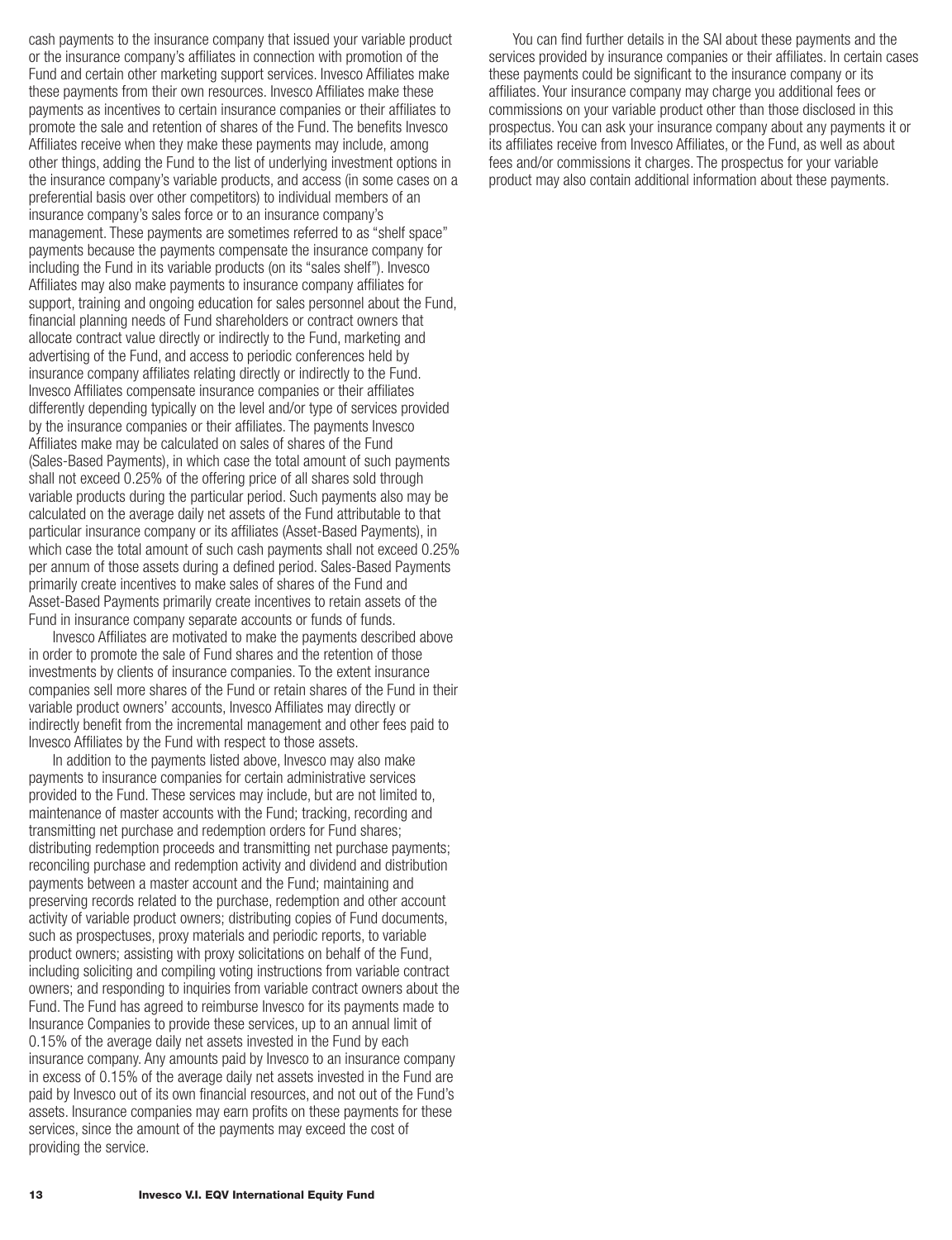cash payments to the insurance company that issued your variable product or the insurance company's affiliates in connection with promotion of the Fund and certain other marketing support services. Invesco Affiliates make these payments from their own resources. Invesco Affiliates make these payments as incentives to certain insurance companies or their affiliates to promote the sale and retention of shares of the Fund. The benefits Invesco Affiliates receive when they make these payments may include, among other things, adding the Fund to the list of underlying investment options in the insurance company's variable products, and access (in some cases on a preferential basis over other competitors) to individual members of an insurance company's sales force or to an insurance company's management. These payments are sometimes referred to as "shelf space" payments because the payments compensate the insurance company for including the Fund in its variable products (on its "sales shelf"). Invesco Affiliates may also make payments to insurance company affiliates for support, training and ongoing education for sales personnel about the Fund, financial planning needs of Fund shareholders or contract owners that allocate contract value directly or indirectly to the Fund, marketing and advertising of the Fund, and access to periodic conferences held by insurance company affiliates relating directly or indirectly to the Fund. Invesco Affiliates compensate insurance companies or their affiliates differently depending typically on the level and/or type of services provided by the insurance companies or their affiliates. The payments Invesco Affiliates make may be calculated on sales of shares of the Fund (Sales-Based Payments), in which case the total amount of such payments shall not exceed 0.25% of the offering price of all shares sold through variable products during the particular period. Such payments also may be calculated on the average daily net assets of the Fund attributable to that particular insurance company or its affiliates (Asset-Based Payments), in which case the total amount of such cash payments shall not exceed 0.25% per annum of those assets during a defined period. Sales-Based Payments primarily create incentives to make sales of shares of the Fund and Asset-Based Payments primarily create incentives to retain assets of the Fund in insurance company separate accounts or funds of funds.

Invesco Affiliates are motivated to make the payments described above in order to promote the sale of Fund shares and the retention of those investments by clients of insurance companies. To the extent insurance companies sell more shares of the Fund or retain shares of the Fund in their variable product owners' accounts, Invesco Affiliates may directly or indirectly benefit from the incremental management and other fees paid to Invesco Affiliates by the Fund with respect to those assets.

In addition to the payments listed above, Invesco may also make payments to insurance companies for certain administrative services provided to the Fund. These services may include, but are not limited to, maintenance of master accounts with the Fund; tracking, recording and transmitting net purchase and redemption orders for Fund shares; distributing redemption proceeds and transmitting net purchase payments; reconciling purchase and redemption activity and dividend and distribution payments between a master account and the Fund; maintaining and preserving records related to the purchase, redemption and other account activity of variable product owners; distributing copies of Fund documents, such as prospectuses, proxy materials and periodic reports, to variable product owners; assisting with proxy solicitations on behalf of the Fund, including soliciting and compiling voting instructions from variable contract owners; and responding to inquiries from variable contract owners about the Fund. The Fund has agreed to reimburse Invesco for its payments made to Insurance Companies to provide these services, up to an annual limit of 0.15% of the average daily net assets invested in the Fund by each insurance company. Any amounts paid by Invesco to an insurance company in excess of 0.15% of the average daily net assets invested in the Fund are paid by Invesco out of its own financial resources, and not out of the Fund's assets. Insurance companies may earn profits on these payments for these services, since the amount of the payments may exceed the cost of providing the service.

You can find further details in the SAI about these payments and the services provided by insurance companies or their affiliates. In certain cases these payments could be significant to the insurance company or its affiliates. Your insurance company may charge you additional fees or commissions on your variable product other than those disclosed in this prospectus. You can ask your insurance company about any payments it or its affiliates receive from Invesco Affiliates, or the Fund, as well as about fees and/or commissions it charges. The prospectus for your variable product may also contain additional information about these payments.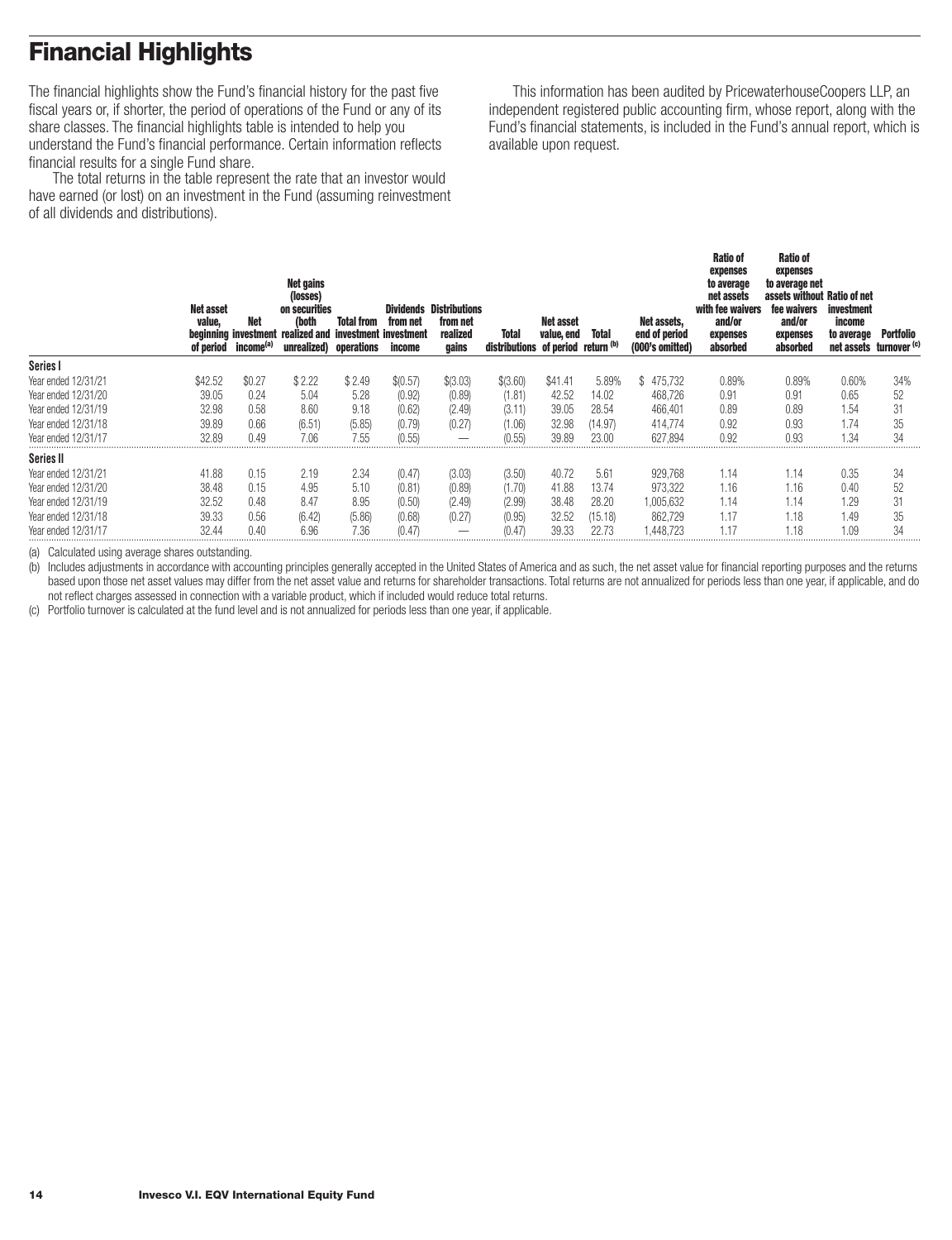# <span id="page-15-0"></span>**Financial Highlights**

The financial highlights show the Fund's financial history for the past five fiscal years or, if shorter, the period of operations of the Fund or any of its share classes. The financial highlights table is intended to help you understand the Fund's financial performance. Certain information reflects financial results for a single Fund share.

The total returns in the table represent the rate that an investor would have earned (or lost) on an investment in the Fund (assuming reinvestment of all dividends and distributions).

This information has been audited by PricewaterhouseCoopers LLP, an independent registered public accounting firm, whose report, along with the Fund's financial statements, is included in the Fund's annual report, which is available upon request.

|                     | <b>Net asset</b><br>value,<br>of period | Net<br>beginning investment<br>income <sup>(a)</sup> | Net gains<br>(losses)<br>on securities<br>(both<br>realized and<br>unrealized) operations | <b>Total from</b><br>investment investment | from net<br>income | <b>Dividends Distributions</b><br>from net<br>realized<br>gains | <b>Total</b><br>distributions of period return (b) | Net asset<br>value, end | <b>Total</b> | Net assets,<br>end of period<br>(000's omitted) | <b>Ratio of</b><br>expenses<br>to average<br>net assets<br>with fee waivers<br>and/or<br>expenses<br>absorbed | Ratio of<br>expenses<br>to average net<br>assets without Ratio of net<br>fee waivers<br>and/or<br>expenses<br>absorbed | <b>investment</b><br>income<br>to average<br>net assets | Portfolio<br>turnover <sup>(c)</sup> |
|---------------------|-----------------------------------------|------------------------------------------------------|-------------------------------------------------------------------------------------------|--------------------------------------------|--------------------|-----------------------------------------------------------------|----------------------------------------------------|-------------------------|--------------|-------------------------------------------------|---------------------------------------------------------------------------------------------------------------|------------------------------------------------------------------------------------------------------------------------|---------------------------------------------------------|--------------------------------------|
| Series I            |                                         |                                                      |                                                                                           |                                            |                    |                                                                 |                                                    |                         |              |                                                 |                                                                                                               |                                                                                                                        |                                                         |                                      |
| Year ended 12/31/21 | \$42.52                                 | \$0.27                                               | \$2.22                                                                                    | \$2.49                                     | \$(0.57)           | \$(3.03)                                                        | \$(3.60)                                           | \$41.41                 | 5.89%        | 475,732<br>S                                    | 0.89%                                                                                                         | 0.89%                                                                                                                  | 0.60%                                                   | 34%                                  |
| Year ended 12/31/20 | 39.05                                   | 0.24                                                 | 5.04                                                                                      | 5.28                                       | (0.92)             | (0.89)                                                          | (1.81)                                             | 42.52                   | 14.02        | 468,726                                         | 0.91                                                                                                          | 0.91                                                                                                                   | 0.65                                                    | 52                                   |
| Year ended 12/31/19 | 32.98                                   | 0.58                                                 | 8.60                                                                                      | 9.18                                       | (0.62)             | (2.49)                                                          | (3.11)                                             | 39.05                   | 28.54        | 466.401                                         | 0.89                                                                                                          | 0.89                                                                                                                   | 1.54                                                    | 31                                   |
| Year ended 12/31/18 | 39.89                                   | 0.66                                                 | (6.51)                                                                                    | (5.85)                                     | (0.79)             | (0.27)                                                          | (1.06)                                             | 32.98                   | (14.97)      | 414,774                                         | 0.92                                                                                                          | 0.93                                                                                                                   | 1.74                                                    | 35                                   |
| Year ended 12/31/17 | 32.89                                   | 0.49                                                 | 7.06                                                                                      | 7.55                                       | (0.55)             |                                                                 | (0.55)                                             | 39.89                   | 23.00        | 627.894                                         | 0.92                                                                                                          | 0.93                                                                                                                   | 1.34                                                    | 34                                   |
| Series II           |                                         |                                                      |                                                                                           |                                            |                    |                                                                 |                                                    |                         |              |                                                 |                                                                                                               |                                                                                                                        |                                                         |                                      |
| Year ended 12/31/21 | 41.88                                   | 0.15                                                 | 2.19                                                                                      | 2.34                                       | (0.47)             | (3.03)                                                          | (3.50)                                             | 40.72                   | 5.61         | 929,768                                         | 1.14                                                                                                          | 1.14                                                                                                                   | 0.35                                                    | 34                                   |
| Year ended 12/31/20 | 38.48                                   | 0.15                                                 | 4.95                                                                                      | 5.10                                       | (0.81)             | (0.89)                                                          | (1.70)                                             | 41.88                   | 13.74        | 973.322                                         | 1.16                                                                                                          | 1.16                                                                                                                   | 0.40                                                    | 52                                   |
| Year ended 12/31/19 | 32.52                                   | 0.48                                                 | 8.47                                                                                      | 8.95                                       | (0.50)             | (2.49)                                                          | (2.99)                                             | 38.48                   | 28.20        | 1,005,632                                       | 1.14                                                                                                          | 1.14                                                                                                                   | 1.29                                                    | 31                                   |
| Year ended 12/31/18 | 39.33                                   | 0.56                                                 | (6.42)                                                                                    | (5.86)                                     | (0.68)             | (0.27)                                                          | (0.95)                                             | 32.52                   | (15.18)      | 862.729                                         | 1.17                                                                                                          | 1.18                                                                                                                   | 1.49                                                    | 35                                   |
| Year ended 12/31/17 | 32.44                                   | 0.40                                                 | 6.96                                                                                      | 7.36                                       | (0.47)             |                                                                 | (0.47                                              | 39.33                   | 22.73        | .448.723                                        |                                                                                                               | 1.18                                                                                                                   | 1.09                                                    | 34                                   |

(a) Calculated using average shares outstanding.

(b) Includes adjustments in accordance with accounting principles generally accepted in the United States of America and as such, the net asset value for financial reporting purposes and the returns based upon those net asset values may differ from the net asset value and returns for shareholder transactions. Total returns are not annualized for periods less than one year, if applicable, and do not reflect charges assessed in connection with a variable product, which if included would reduce total returns.

(c) Portfolio turnover is calculated at the fund level and is not annualized for periods less than one year, if applicable.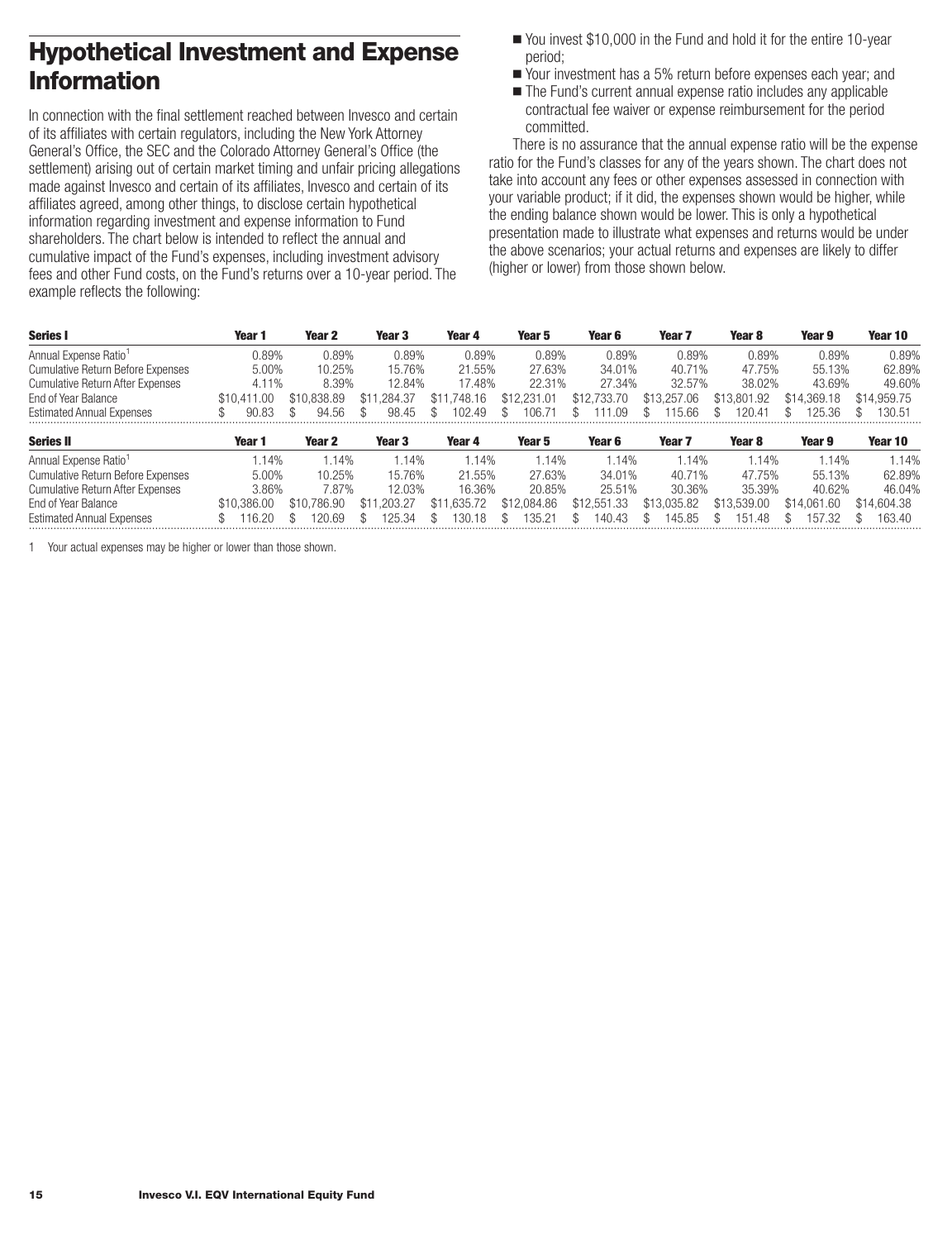# <span id="page-16-0"></span>**Hypothetical Investment and Expense Information**

In connection with the final settlement reached between Invesco and certain of its affiliates with certain regulators, including the New York Attorney General's Office, the SEC and the Colorado Attorney General's Office (the settlement) arising out of certain market timing and unfair pricing allegations made against Invesco and certain of its affiliates, Invesco and certain of its affiliates agreed, among other things, to disclose certain hypothetical information regarding investment and expense information to Fund shareholders. The chart below is intended to reflect the annual and cumulative impact of the Fund's expenses, including investment advisory fees and other Fund costs, on the Fund's returns over a 10-year period. The example reflects the following:

- You invest \$10,000 in the Fund and hold it for the entire 10-year period;
- Your investment has a 5% return before expenses each year; and
- The Fund's current annual expense ratio includes any applicable contractual fee waiver or expense reimbursement for the period committed.

There is no assurance that the annual expense ratio will be the expense ratio for the Fund's classes for any of the years shown. The chart does not take into account any fees or other expenses assessed in connection with your variable product; if it did, the expenses shown would be higher, while the ending balance shown would be lower. This is only a hypothetical presentation made to illustrate what expenses and returns would be under the above scenarios; your actual returns and expenses are likely to differ (higher or lower) from those shown below.

| <b>Series I</b>                          | Year 1      | Year 2      | Year 3      | Year 4          | Year 5      | Year 6      | Year 7            | Year 8      | Year 9      | Year 10     |
|------------------------------------------|-------------|-------------|-------------|-----------------|-------------|-------------|-------------------|-------------|-------------|-------------|
| Annual Expense Ratio <sup>1</sup>        | 0.89%       | 0.89%       | 0.89%       | 0.89%           | 0.89%       | 0.89%       | 0.89%             | 0.89%       | 0.89%       | 0.89%       |
| <b>Cumulative Return Before Expenses</b> | 5.00%       | 10.25%      | 15.76%      | 21.55%          | 27.63%      | 34.01%      | 40.71%            | 47.75%      | 55.13%      | 62.89%      |
| <b>Cumulative Return After Expenses</b>  | 4.11%       | 8.39%       | 12.84%      | 17.48%          | 22.31%      | 27.34%      | 32.57%            | 38.02%      | 43.69%      | 49.60%      |
| End of Year Balance                      | \$10,411.00 | \$10,838.89 | \$11.284.37 | .748.16<br>\$11 | \$12,231.01 | \$12,733,70 | \$13,257.06       | \$13,801.92 | \$14,369.18 | \$14,959.75 |
| <b>Estimated Annual Expenses</b>         | 90.83       | 94.56       | 98.45       | 102.49          | 106.7       | .09         | 115.66            | 20.41       | 25.36       | 130.51      |
| <b>Series II</b>                         | Year 1      | Year 2      | Year 3      | Year 4          | Year 5      | Year 6      | Year <sub>7</sub> | Year 8      | Year 9      | Year 10     |
| Annual Expense Ratio <sup>1</sup>        | $1.14\%$    | 1.14%       | 1.14%       | 1.14%           | 1.14%       | 1.14%       | .14%              | .14%        | 1.14%       | 1.14%       |
| <b>Cumulative Return Before Expenses</b> | 5.00%       | 10.25%      | 15.76%      | 21.55%          | 27.63%      | 34.01%      | 40.71%            | 47.75%      | 55.13%      | 62.89%      |
| <b>Cumulative Return After Expenses</b>  | 3.86%       | 7.87%       | 12.03%      | 16.36%          | 20.85%      | 25.51%      | 30.36%            | 35.39%      | 40.62%      | 46.04%      |
| End of Year Balance                      | \$10.386.00 | \$10.786.90 | \$11.203.27 | .635.72<br>\$11 | \$12,084.86 | \$12,551,33 | \$13,035.82       | \$13,539.00 | \$14,061.60 | \$14,604.38 |
| <b>Estimated Annual Expenses</b>         | 16.20       | 20.69       | 125.34      | 130.18          | 35.21       | 140.43      | 145.85            | -48<br>151  | 157.32      | 163.40      |

1 Your actual expenses may be higher or lower than those shown.